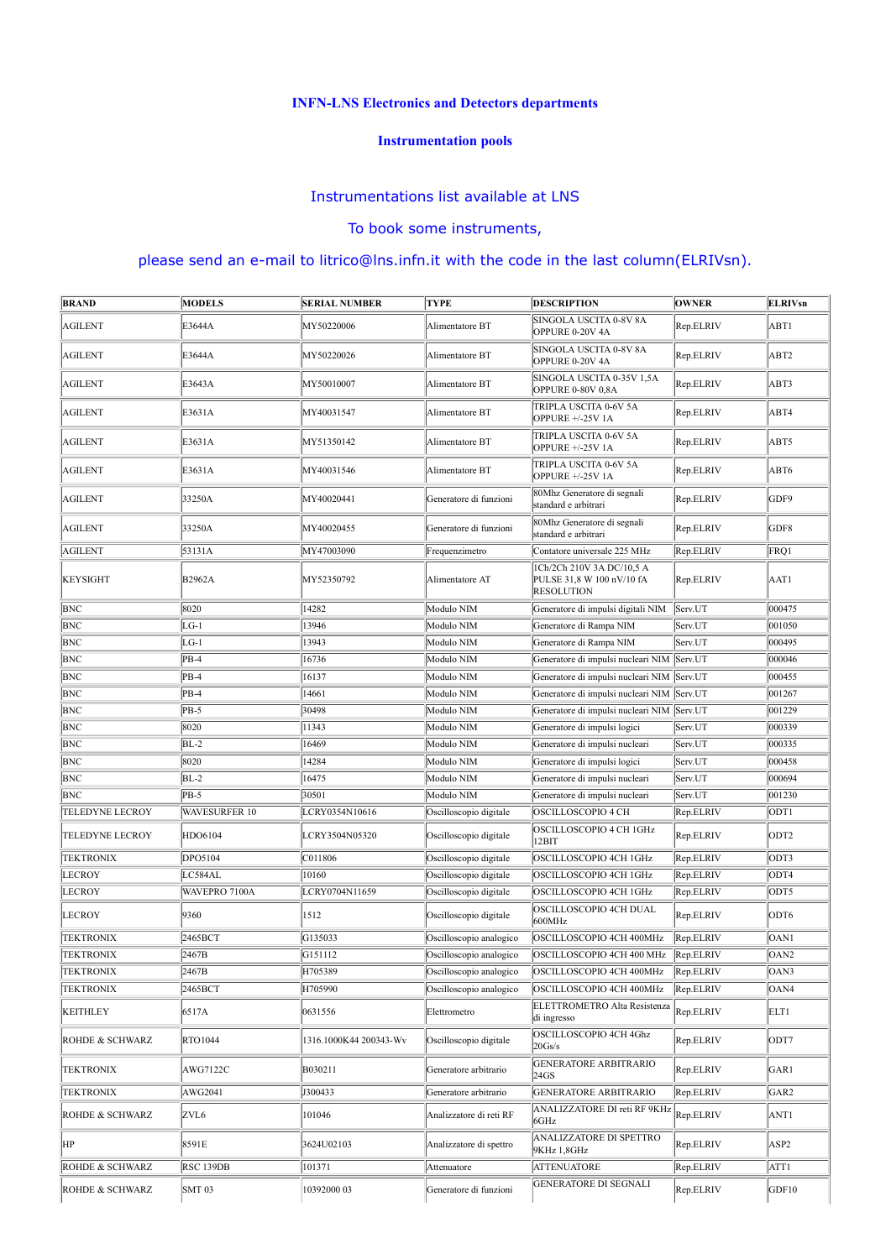# INFN-LNS Electronics and Detectors departments

# Instrumentation pools

### Instrumentations list available at LNS

# To book some instruments,

|                                      |                    | <b>INFN-LNS Electronics and Detectors departments</b> |                                                    |                                                                                          |                        |                          |
|--------------------------------------|--------------------|-------------------------------------------------------|----------------------------------------------------|------------------------------------------------------------------------------------------|------------------------|--------------------------|
|                                      |                    |                                                       | <b>Instrumentation pools</b>                       |                                                                                          |                        |                          |
|                                      |                    | Instrumentations list available at LNS                |                                                    |                                                                                          |                        |                          |
|                                      |                    |                                                       | To book some instruments,                          |                                                                                          |                        |                          |
|                                      |                    |                                                       |                                                    | please send an e-mail to litrico@lns.infn.it with the code in the last column(ELRIVsn).  |                        |                          |
| <b>BRAND</b>                         | <b>MODELS</b>      | <b>SERIAL NUMBER</b>                                  | <b>TYPE</b>                                        | <b>DESCRIPTION</b>                                                                       | <b>OWNER</b>           | <b>ELRIVsn</b>           |
| <b>AGILENT</b>                       | E3644A             | MY50220006                                            | Alimentatore BT                                    | SINGOLA USCITA 0-8V 8A<br>OPPURE 0-20V 4A                                                | Rep.ELRIV              | ABT1                     |
| AGILENT                              | E3644A             | MY50220026                                            | Alimentatore BT                                    | SINGOLA USCITA 0-8V 8A                                                                   | Rep.ELRIV              | ABT2                     |
| <b>AGILENT</b>                       |                    |                                                       | Alimentatore BT                                    | OPPURE 0-20V 4A<br>SINGOLA USCITA 0-35V 1,5A                                             | Rep.ELRIV              | ABT3                     |
|                                      | E3643A             | MY50010007                                            |                                                    | OPPURE 0-80V 0,8A<br>TRIPLA USCITA 0-6V 5A                                               |                        |                          |
| AGILENT                              | E3631A             | MY40031547                                            | Alimentatore BT                                    | OPPURE +/-25V 1A                                                                         | Rep.ELRIV              | ABT4                     |
| AGILENT                              | E3631A             | MY51350142                                            | Alimentatore BT                                    | TRIPLA USCITA 0-6V 5A<br>OPPURE +/-25V 1A                                                | Rep.ELRIV              | ABT5                     |
| AGILENT                              | E3631A             | MY40031546                                            | Alimentatore BT                                    | TRIPLA USCITA 0-6V 5A<br>OPPURE +/-25V 1A                                                | Rep.ELRIV              | ABT6                     |
| AGILENT                              | 33250A             | MY40020441                                            | Generatore di funzioni                             | 80Mhz Generatore di segnali<br>standard e arbitrari                                      | Rep.ELRIV              | GDF9                     |
| <b>AGILENT</b>                       | 33250A             | MY40020455                                            | Generatore di funzioni                             | 80Mhz Generatore di segnali<br>standard e arbitrari                                      | Rep.ELRIV              | GDF8                     |
| <b>AGILENT</b>                       | 53131A             | MY47003090                                            | Frequenzimetro                                     | Contatore universale 225 MHz                                                             | Rep.ELRIV              | FRQ1                     |
| <b>KEYSIGHT</b>                      | <b>B2962A</b>      | MY52350792                                            | Alimentatore AT                                    | 1Ch/2Ch 210V 3A DC/10,5 A<br>PULSE 31,8 W 100 nV/10 fA<br><b>RESOLUTION</b>              | Rep.ELRIV              | AAT1                     |
| <b>BNC</b>                           | 8020               | 14282                                                 | Modulo NIM                                         | Generatore di impulsi digitali NIM Serv.UT                                               |                        | 000475                   |
| <b>BNC</b><br><b>BNC</b>             | $LG-1$<br>$LG-1$   | 13946<br>13943                                        | Modulo NIM<br>Modulo NIM                           | Generatore di Rampa NIM<br>Generatore di Rampa NIM                                       | Serv.UT<br>Serv.UT     | 001050<br>000495         |
| <b>BNC</b>                           | $PB-4$             | 16736                                                 | Modulo NIM                                         | Generatore di impulsi nucleari NIM Serv.UT                                               |                        | 000046                   |
| <b>BNC</b>                           | $PB-4$             | 16137                                                 | Modulo NIM                                         | Generatore di impulsi nucleari NIM Serv.UT                                               |                        | 000455                   |
| <b>BNC</b><br><b>BNC</b>             | $PB-4$<br>$PB-5$   | 14661<br>30498                                        | Modulo NIM<br>Modulo NIM                           | Generatore di impulsi nucleari NIM Serv.UT<br>Generatore di impulsi nucleari NIM Serv.UT |                        | 001267<br>001229         |
| <b>BNC</b>                           | 8020               | 11343                                                 | Modulo NIM                                         | Generatore di impulsi logici                                                             | Serv.UT                | 000339                   |
| <b>BNC</b>                           | $BL-2$             | 16469                                                 | Modulo NIM                                         | Generatore di impulsi nucleari                                                           | Serv.UT                | 000335                   |
| <b>BNC</b><br><b>BNC</b>             | 8020<br>$BL-2$     | 14284<br>16475                                        | Modulo NIM<br>Modulo NIM                           | Generatore di impulsi logici<br>Generatore di impulsi nucleari                           | Serv.UT<br>Serv.UT     | 000458<br>000694         |
| <b>BNC</b>                           | $PB-5$             | 30501                                                 | Modulo NIM                                         | Generatore di impulsi nucleari                                                           | Serv.UT                | 001230                   |
| <b>TELEDYNE LECROY</b>               | WAVESURFER 10      | LCRY0354N10616                                        | Oscilloscopio digitale                             | OSCILLOSCOPIO 4 CH                                                                       | Rep.ELRIV              | ODT <sub>1</sub>         |
| <b>TELEDYNE LECROY</b>               | HDO6104            | LCRY3504N05320                                        | Oscilloscopio digitale                             | OSCILLOSCOPIO 4 CH 1GHz<br>12BIT                                                         | Rep.ELRIV              | ODT2                     |
| <b>TEKTRONIX</b><br><b>LECROY</b>    | DPO5104<br>LC584AL | C011806<br>10160                                      | Oscilloscopio digitale<br>Oscilloscopio digitale   | OSCILLOSCOPIO 4CH 1GHz<br>OSCILLOSCOPIO 4CH 1GHz                                         | Rep.ELRIV<br>Rep.ELRIV | ODT3<br>ODT4             |
| <b>LECROY</b>                        | WAVEPRO 7100A      | LCRY0704N11659                                        | Oscilloscopio digitale                             | OSCILLOSCOPIO 4CH 1GHz                                                                   | Rep.ELRIV              | ODT5                     |
| <b>LECROY</b>                        | 9360               | 1512                                                  | Oscilloscopio digitale                             | OSCILLOSCOPIO 4CH DUAL<br>600MHz                                                         | Rep.ELRIV              | ODT6                     |
| <b>TEKTRONIX</b>                     | 2465BCT            | G135033                                               | Oscilloscopio analogico                            | OSCILLOSCOPIO 4CH 400MHz                                                                 | Rep.ELRIV              | OAN1                     |
| <b>TEKTRONIX</b><br><b>TEKTRONIX</b> | 2467B<br>2467B     | G151112<br>H705389                                    | Oscilloscopio analogico<br>Oscilloscopio analogico | OSCILLOSCOPIO 4CH 400 MHz Rep.ELRIV<br>OSCILLOSCOPIO 4CH 400MHz Rep.ELRIV                |                        | OAN <sub>2</sub><br>OAN3 |
| <b>TEKTRONIX</b>                     | 2465BCT            | H705990                                               | Oscilloscopio analogico                            | OSCILLOSCOPIO 4CH 400MHz                                                                 | Rep.ELRIV              | OAN4                     |
| <b>KEITHLEY</b>                      | 6517A              | 0631556                                               | Elettrometro                                       | ELETTROMETRO Alta Resistenza<br>di ingresso                                              | Rep.ELRIV              | ELT1                     |
| ROHDE & SCHWARZ                      | RTO1044            | 1316.1000K44 200343-Wv                                | Oscilloscopio digitale                             | OSCILLOSCOPIO 4CH 4Ghz<br>20Gs/s                                                         | Rep.ELRIV              | ODT7                     |
| <b>TEKTRONIX</b>                     | AWG7122C           | B030211                                               | Generatore arbitrario                              | <b>GENERATORE ARBITRARIO</b><br>24GS                                                     | Rep.ELRIV              | GAR1                     |
| <b>TEKTRONIX</b>                     | AWG2041            | J300433                                               | Generatore arbitrario                              | <b>GENERATORE ARBITRARIO</b>                                                             | Rep.ELRIV              | GAR <sub>2</sub>         |
| ROHDE & SCHWARZ                      | ZVL <sub>6</sub>   | 101046                                                | Analizzatore di reti RF                            | ANALIZZATORE DI reti RF 9KHz<br>6GHz                                                     | Rep.ELRIV              | ANT1                     |
| HP                                   | 8591E              | 3624U02103                                            | Analizzatore di spettro                            | ANALIZZATORE DI SPETTRO<br>9KHz 1,8GHz                                                   | Rep.ELRIV              | ASP2                     |
| ROHDE & SCHWARZ                      | RSC 139DB          | 101371                                                | Attenuatore                                        | <b>ATTENUATORE</b>                                                                       | Rep.ELRIV              | ATT1                     |
| ROHDE & SCHWARZ                      | <b>SMT 03</b>      | 10392000 03                                           | Generatore di funzioni                             | <b>GENERATORE DI SEGNALI</b>                                                             | Rep.ELRIV              | GDF10                    |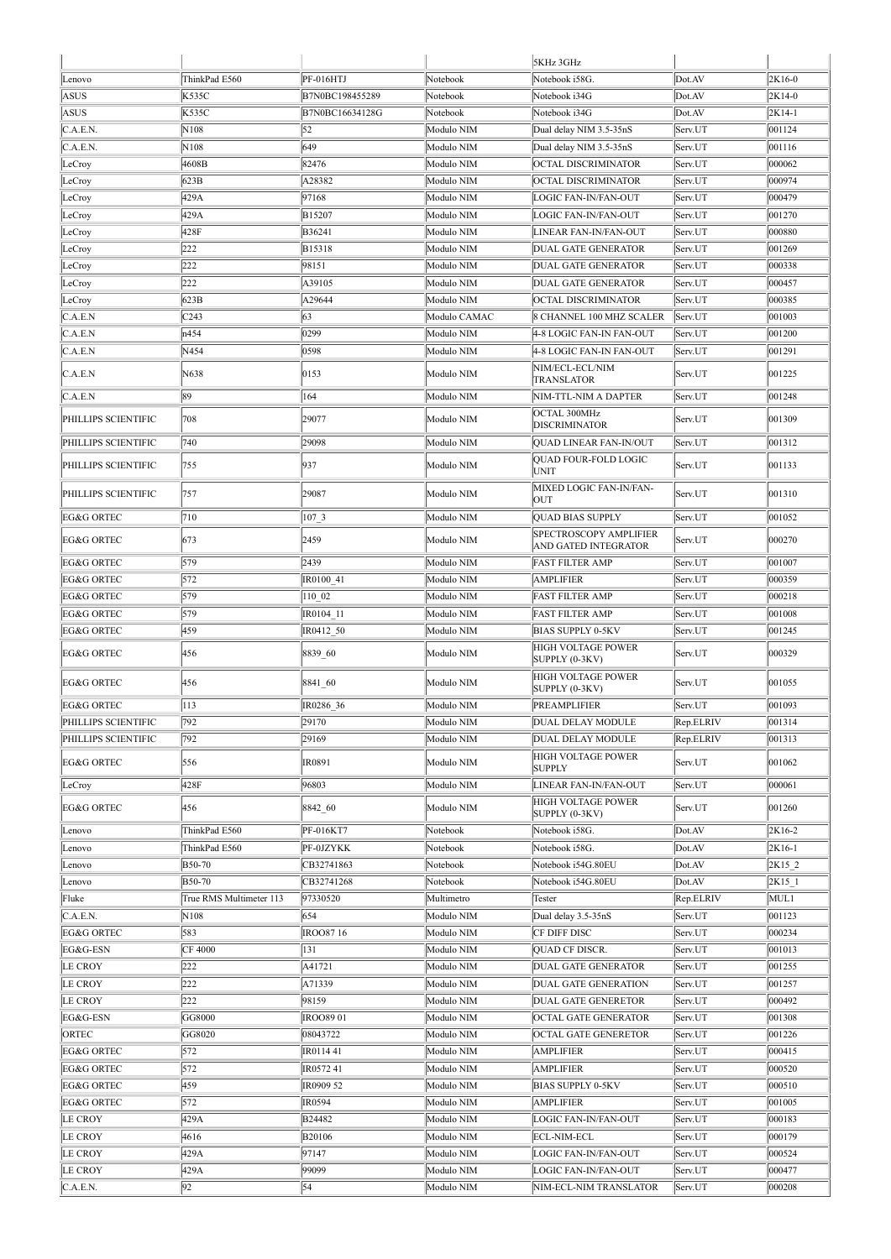| 5KHz 3GHz<br>ThinkPad E560<br>PF-016HTJ<br>Notebook i58G.<br>Dot.AV<br>2K16-0<br>Lenovo<br>Notebook<br>K535C<br>ASUS<br>B7N0BC198455289<br>Notebook i34G<br>Dot.AV<br>2K14-0<br>Notebook<br>ASUS<br>K535C<br>B7N0BC16634128G<br>Notebook i34G<br>2K14-1<br>Notebook<br>Dot.AV<br>52<br>C.A.E.N.<br>001124<br>N108<br>Modulo NIM<br>Dual delay NIM 3.5-35nS<br>Serv.UT<br>C.A.E.N.<br>N108<br>649<br>Modulo NIM<br>Dual delay NIM 3.5-35nS<br>001116<br>Serv.UT<br>4608B<br>82476<br>Modulo NIM<br><b>OCTAL DISCRIMINATOR</b><br>000062<br>LeCroy<br>Serv.UT<br>623B<br>A28382<br>LeCroy<br>Modulo NIM<br>OCTAL DISCRIMINATOR<br>000974<br>Serv.UT<br>429A<br>97168<br>000479<br>Modulo NIM<br>LOGIC FAN-IN/FAN-OUT<br>Serv.UT<br>LeCroy<br>429A<br>B15207<br>Modulo NIM<br>LOGIC FAN-IN/FAN-OUT<br>001270<br>LeCroy<br>Serv.UT<br>428F<br>B36241<br>Modulo NIM<br>LINEAR FAN-IN/FAN-OUT<br>000880<br>LeCroy<br>Serv.UT<br>222<br>B15318<br>Modulo NIM<br>DUAL GATE GENERATOR<br>001269<br>LeCroy<br>Serv.UT<br>222<br>LeCroy<br>98151<br>Modulo NIM<br>DUAL GATE GENERATOR<br>Serv.UT<br>000338<br>222<br>A39105<br>Modulo NIM<br>DUAL GATE GENERATOR<br>Serv.UT<br>000457<br>LeCroy<br>623B<br>A29644<br>Modulo NIM<br>000385<br>OCTAL DISCRIMINATOR<br>Serv.UT<br>LeCroy<br>C.A.E.N<br>63<br>C <sub>243</sub><br>Modulo CAMAC<br>8 CHANNEL 100 MHZ SCALER<br>001003<br>Serv.UT<br>C.A.E.N<br>0299<br>n454<br>Modulo NIM<br>001200<br>4-8 LOGIC FAN-IN FAN-OUT<br>Serv.UT<br>C.A.E.N<br>N454<br>0598<br>Modulo NIM<br>4-8 LOGIC FAN-IN FAN-OUT<br>Serv.UT<br>001291<br>NIM/ECL-ECL/NIM<br>N638<br>0153<br>001225<br>Modulo NIM<br>Serv.UT<br>C.A.E.N<br><b>TRANSLATOR</b><br>89<br>164<br>Modulo NIM<br>C.A.E.N<br>NIM-TTL-NIM A DAPTER<br>Serv.UT<br>001248<br><b>OCTAL 300MHz</b><br>29077<br>708<br>Modulo NIM<br>001309<br>PHILLIPS SCIENTIFIC<br>Serv.UT<br><b>DISCRIMINATOR</b><br>29098<br>PHILLIPS SCIENTIFIC<br>740<br>Modulo NIM<br>QUAD LINEAR FAN-IN/OUT<br>Serv.UT<br>001312<br>QUAD FOUR-FOLD LOGIC<br>937<br>Modulo NIM<br>001133<br>PHILLIPS SCIENTIFIC<br>755<br>Serv.UT<br><b>UNIT</b><br>MIXED LOGIC FAN-IN/FAN-<br>757<br>29087<br>Modulo NIM<br>001310<br>PHILLIPS SCIENTIFIC<br>Serv.UT<br><b>OUT</b><br>710<br>107 3<br>001052<br><b>EG&amp;G ORTEC</b><br>Modulo NIM<br><b>QUAD BIAS SUPPLY</b><br>Serv.UT<br>SPECTROSCOPY AMPLIFIER<br>2459<br>673<br>Modulo NIM<br>000270<br><b>EG&amp;G ORTEC</b><br>Serv.UT<br>AND GATED INTEGRATOR<br>579<br>2439<br>Modulo NIM<br>001007<br><b>EG&amp;G ORTEC</b><br><b>FAST FILTER AMP</b><br>Serv.UT<br>572<br>Modulo NIM<br>000359<br><b>EG&amp;G ORTEC</b><br>IR0100 41<br><b>AMPLIFIER</b><br>Serv.UT<br>579<br>110 02<br>Modulo NIM<br>000218<br><b>EG&amp;G ORTEC</b><br><b>FAST FILTER AMP</b><br>Serv.UT<br>579<br><b>EG&amp;G ORTEC</b><br>IR0104 11<br>Modulo NIM<br><b>FAST FILTER AMP</b><br>001008<br>Serv.UT<br>459<br><b>EG&amp;G ORTEC</b><br>IR0412 50<br>Modulo NIM<br><b>BIAS SUPPLY 0-5KV</b><br>Serv.UT<br>001245<br><b>HIGH VOLTAGE POWER</b><br>456<br>8839 60<br>Modulo NIM<br>000329<br><b>EG&amp;G ORTEC</b><br>Serv.UT<br>SUPPLY (0-3KV)<br>HIGH VOLTAGE POWER<br>456<br>8841 60<br>Modulo NIM<br>001055<br><b>EG&amp;G ORTEC</b><br>Serv.UT<br>SUPPLY (0-3KV)<br>113<br>001093<br><b>EG&amp;G ORTEC</b><br>IR0286 36<br>Modulo NIM<br>PREAMPLIFIER<br>Serv.UT<br>792<br>29170<br>Modulo NIM<br>PHILLIPS SCIENTIFIC<br>DUAL DELAY MODULE<br>Rep.ELRIV<br>001314<br>792<br>29169<br>Modulo NIM<br>001313<br>PHILLIPS SCIENTIFIC<br>DUAL DELAY MODULE<br>Rep.ELRIV<br>HIGH VOLTAGE POWER<br>EG&G ORTEC<br>556<br>IR0891<br>Modulo NIM<br>001062<br>Serv.UT<br><b>SUPPLY</b><br>428F<br>96803<br>000061<br>Modulo NIM<br>LINEAR FAN-IN/FAN-OUT<br>Serv.UT<br>LeCroy<br>HIGH VOLTAGE POWER<br>EG&G ORTEC<br>456<br>8842 60<br>Modulo NIM<br>001260<br>Serv.UT<br>SUPPLY (0-3KV)<br>PF-016KT7<br>2K16-2<br>ThinkPad E560<br>Notebook<br>Notebook i58G.<br>Dot.AV<br>Lenovo<br>ThinkPad E560<br>PF-0JZYKK<br>Notebook<br>Notebook i58G.<br>Dot.AV<br>2K16-1<br>Lenovo<br><b>B50-70</b><br>CB32741863<br>Notebook<br>Notebook i54G.80EU<br>2K15 2<br>Dot.AV<br>Lenovo<br>B50-70<br>CB32741268<br>Notebook<br>Notebook i54G.80EU<br>Dot.AV<br>2K15 1<br>Lenovo<br>97330520<br>Fluke<br>Multimetro<br>Rep.ELRIV<br>MUL1<br>True RMS Multimeter 113<br>Tester<br>N108<br>654<br>001123<br>C.A.E.N.<br>Modulo NIM<br>Dual delay 3.5-35nS<br>Serv.UT<br>583<br><b>EG&amp;G ORTEC</b><br><b>IROO8716</b><br>Modulo NIM<br>CF DIFF DISC<br>000234<br>Serv.UT<br>CF 4000<br>131<br>001013<br>EG&G-ESN<br>Modulo NIM<br>QUAD CF DISCR.<br>Serv.UT<br>222<br>Modulo NIM<br><b>LE CROY</b><br>A41721<br><b>DUAL GATE GENERATOR</b><br>Serv.UT<br>001255<br>222<br><b>LE CROY</b><br>A71339<br>Modulo NIM<br>001257<br>DUAL GATE GENERATION<br>Serv.UT<br>222<br><b>LE CROY</b><br>98159<br>Modulo NIM<br><b>DUAL GATE GENERETOR</b><br>000492<br>Serv.UT<br>001308<br>EG&G-ESN<br>GG8000<br><b>IROO8901</b><br>Modulo NIM<br>OCTAL GATE GENERATOR<br>Serv.UT<br><b>OCTAL GATE GENERETOR</b><br>Modulo NIM<br>Serv.UT<br>ORTEC<br>GG8020<br>08043722<br>001226<br>572<br>EG&G ORTEC<br>Modulo NIM<br><b>AMPLIFIER</b><br>IR011441<br>Serv.UT<br>000415<br>572<br>EG&G ORTEC<br>IR057241<br>Modulo NIM<br><b>AMPLIFIER</b><br>Serv.UT<br>000520<br>459<br>EG&G ORTEC<br>IR0909 52<br>Modulo NIM<br><b>BIAS SUPPLY 0-5KV</b><br>Serv.UT<br>000510<br>572<br>EG&G ORTEC<br>IR0594<br>Modulo NIM<br><b>AMPLIFIER</b><br>Serv.UT<br>001005<br><b>LE CROY</b><br>429A<br>B24482<br>Modulo NIM<br>LOGIC FAN-IN/FAN-OUT<br>000183<br>Serv.UT<br>Modulo NIM<br><b>LE CROY</b><br>4616<br>B20106<br><b>ECL-NIM-ECL</b><br>000179<br>Serv.UT<br><b>LE CROY</b><br>429A<br>97147<br>Modulo NIM<br>LOGIC FAN-IN/FAN-OUT<br>Serv.UT<br>000524<br>429A<br><b>LE CROY</b><br>99099<br>Modulo NIM<br>LOGIC FAN-IN/FAN-OUT<br>000477<br>Serv.UT<br>92<br>54<br>C.A.E.N.<br>Modulo NIM<br>NIM-ECL-NIM TRANSLATOR<br>000208<br>Serv.UT |  |  |  |  |
|--------------------------------------------------------------------------------------------------------------------------------------------------------------------------------------------------------------------------------------------------------------------------------------------------------------------------------------------------------------------------------------------------------------------------------------------------------------------------------------------------------------------------------------------------------------------------------------------------------------------------------------------------------------------------------------------------------------------------------------------------------------------------------------------------------------------------------------------------------------------------------------------------------------------------------------------------------------------------------------------------------------------------------------------------------------------------------------------------------------------------------------------------------------------------------------------------------------------------------------------------------------------------------------------------------------------------------------------------------------------------------------------------------------------------------------------------------------------------------------------------------------------------------------------------------------------------------------------------------------------------------------------------------------------------------------------------------------------------------------------------------------------------------------------------------------------------------------------------------------------------------------------------------------------------------------------------------------------------------------------------------------------------------------------------------------------------------------------------------------------------------------------------------------------------------------------------------------------------------------------------------------------------------------------------------------------------------------------------------------------------------------------------------------------------------------------------------------------------------------------------------------------------------------------------------------------------------------------------------------------------------------------------------------------------------------------------------------------------------------------------------------------------------------------------------------------------------------------------------------------------------------------------------------------------------------------------------------------------------------------------------------------------------------------------------------------------------------------------------------------------------------------------------------------------------------------------------------------------------------------------------------------------------------------------------------------------------------------------------------------------------------------------------------------------------------------------------------------------------------------------------------------------------------------------------------------------------------------------------------------------------------------------------------------------------------------------------------------------------------------------------------------------------------------------------------------------------------------------------------------------------------------------------------------------------------------------------------------------------------------------------------------------------------------------------------------------------------------------------------------------------------------------------------------------------------------------------------------------------------------------------------------------------------------------------------------------------------------------------------------------------------------------------------------------------------------------------------------------------------------------------------------------------------------------------------------------------------------------------------------------------------------------------------------------------------------------------------------------------------------------------------------------------------------------------------------------------------------------------------------------------------------------------------------------------------------------------------------------------------------------------------------------------------------------------------------------------------------------------------------------------------------------------------------------------------------------------------------------------------------------------------------------------------------------------------------------------------------------------------------------------------------------------------------------------------------------------------------------------------------------------------------------------------------------------------------------------------------------------------------------------------------------------------------------------------------------------------------------------------------------------------------------------------------------------------------------------------------------------------------------------------------------------------------------------------------------------------------------------------------|--|--|--|--|
|                                                                                                                                                                                                                                                                                                                                                                                                                                                                                                                                                                                                                                                                                                                                                                                                                                                                                                                                                                                                                                                                                                                                                                                                                                                                                                                                                                                                                                                                                                                                                                                                                                                                                                                                                                                                                                                                                                                                                                                                                                                                                                                                                                                                                                                                                                                                                                                                                                                                                                                                                                                                                                                                                                                                                                                                                                                                                                                                                                                                                                                                                                                                                                                                                                                                                                                                                                                                                                                                                                                                                                                                                                                                                                                                                                                                                                                                                                                                                                                                                                                                                                                                                                                                                                                                                                                                                                                                                                                                                                                                                                                                                                                                                                                                                                                                                                                                                                                                                                                                                                                                                                                                                                                                                                                                                                                                                                                                                                                                                                                                                                                                                                                                                                                                                                                                                                                                                                                                                                                            |  |  |  |  |
|                                                                                                                                                                                                                                                                                                                                                                                                                                                                                                                                                                                                                                                                                                                                                                                                                                                                                                                                                                                                                                                                                                                                                                                                                                                                                                                                                                                                                                                                                                                                                                                                                                                                                                                                                                                                                                                                                                                                                                                                                                                                                                                                                                                                                                                                                                                                                                                                                                                                                                                                                                                                                                                                                                                                                                                                                                                                                                                                                                                                                                                                                                                                                                                                                                                                                                                                                                                                                                                                                                                                                                                                                                                                                                                                                                                                                                                                                                                                                                                                                                                                                                                                                                                                                                                                                                                                                                                                                                                                                                                                                                                                                                                                                                                                                                                                                                                                                                                                                                                                                                                                                                                                                                                                                                                                                                                                                                                                                                                                                                                                                                                                                                                                                                                                                                                                                                                                                                                                                                                            |  |  |  |  |
|                                                                                                                                                                                                                                                                                                                                                                                                                                                                                                                                                                                                                                                                                                                                                                                                                                                                                                                                                                                                                                                                                                                                                                                                                                                                                                                                                                                                                                                                                                                                                                                                                                                                                                                                                                                                                                                                                                                                                                                                                                                                                                                                                                                                                                                                                                                                                                                                                                                                                                                                                                                                                                                                                                                                                                                                                                                                                                                                                                                                                                                                                                                                                                                                                                                                                                                                                                                                                                                                                                                                                                                                                                                                                                                                                                                                                                                                                                                                                                                                                                                                                                                                                                                                                                                                                                                                                                                                                                                                                                                                                                                                                                                                                                                                                                                                                                                                                                                                                                                                                                                                                                                                                                                                                                                                                                                                                                                                                                                                                                                                                                                                                                                                                                                                                                                                                                                                                                                                                                                            |  |  |  |  |
|                                                                                                                                                                                                                                                                                                                                                                                                                                                                                                                                                                                                                                                                                                                                                                                                                                                                                                                                                                                                                                                                                                                                                                                                                                                                                                                                                                                                                                                                                                                                                                                                                                                                                                                                                                                                                                                                                                                                                                                                                                                                                                                                                                                                                                                                                                                                                                                                                                                                                                                                                                                                                                                                                                                                                                                                                                                                                                                                                                                                                                                                                                                                                                                                                                                                                                                                                                                                                                                                                                                                                                                                                                                                                                                                                                                                                                                                                                                                                                                                                                                                                                                                                                                                                                                                                                                                                                                                                                                                                                                                                                                                                                                                                                                                                                                                                                                                                                                                                                                                                                                                                                                                                                                                                                                                                                                                                                                                                                                                                                                                                                                                                                                                                                                                                                                                                                                                                                                                                                                            |  |  |  |  |
|                                                                                                                                                                                                                                                                                                                                                                                                                                                                                                                                                                                                                                                                                                                                                                                                                                                                                                                                                                                                                                                                                                                                                                                                                                                                                                                                                                                                                                                                                                                                                                                                                                                                                                                                                                                                                                                                                                                                                                                                                                                                                                                                                                                                                                                                                                                                                                                                                                                                                                                                                                                                                                                                                                                                                                                                                                                                                                                                                                                                                                                                                                                                                                                                                                                                                                                                                                                                                                                                                                                                                                                                                                                                                                                                                                                                                                                                                                                                                                                                                                                                                                                                                                                                                                                                                                                                                                                                                                                                                                                                                                                                                                                                                                                                                                                                                                                                                                                                                                                                                                                                                                                                                                                                                                                                                                                                                                                                                                                                                                                                                                                                                                                                                                                                                                                                                                                                                                                                                                                            |  |  |  |  |
|                                                                                                                                                                                                                                                                                                                                                                                                                                                                                                                                                                                                                                                                                                                                                                                                                                                                                                                                                                                                                                                                                                                                                                                                                                                                                                                                                                                                                                                                                                                                                                                                                                                                                                                                                                                                                                                                                                                                                                                                                                                                                                                                                                                                                                                                                                                                                                                                                                                                                                                                                                                                                                                                                                                                                                                                                                                                                                                                                                                                                                                                                                                                                                                                                                                                                                                                                                                                                                                                                                                                                                                                                                                                                                                                                                                                                                                                                                                                                                                                                                                                                                                                                                                                                                                                                                                                                                                                                                                                                                                                                                                                                                                                                                                                                                                                                                                                                                                                                                                                                                                                                                                                                                                                                                                                                                                                                                                                                                                                                                                                                                                                                                                                                                                                                                                                                                                                                                                                                                                            |  |  |  |  |
|                                                                                                                                                                                                                                                                                                                                                                                                                                                                                                                                                                                                                                                                                                                                                                                                                                                                                                                                                                                                                                                                                                                                                                                                                                                                                                                                                                                                                                                                                                                                                                                                                                                                                                                                                                                                                                                                                                                                                                                                                                                                                                                                                                                                                                                                                                                                                                                                                                                                                                                                                                                                                                                                                                                                                                                                                                                                                                                                                                                                                                                                                                                                                                                                                                                                                                                                                                                                                                                                                                                                                                                                                                                                                                                                                                                                                                                                                                                                                                                                                                                                                                                                                                                                                                                                                                                                                                                                                                                                                                                                                                                                                                                                                                                                                                                                                                                                                                                                                                                                                                                                                                                                                                                                                                                                                                                                                                                                                                                                                                                                                                                                                                                                                                                                                                                                                                                                                                                                                                                            |  |  |  |  |
|                                                                                                                                                                                                                                                                                                                                                                                                                                                                                                                                                                                                                                                                                                                                                                                                                                                                                                                                                                                                                                                                                                                                                                                                                                                                                                                                                                                                                                                                                                                                                                                                                                                                                                                                                                                                                                                                                                                                                                                                                                                                                                                                                                                                                                                                                                                                                                                                                                                                                                                                                                                                                                                                                                                                                                                                                                                                                                                                                                                                                                                                                                                                                                                                                                                                                                                                                                                                                                                                                                                                                                                                                                                                                                                                                                                                                                                                                                                                                                                                                                                                                                                                                                                                                                                                                                                                                                                                                                                                                                                                                                                                                                                                                                                                                                                                                                                                                                                                                                                                                                                                                                                                                                                                                                                                                                                                                                                                                                                                                                                                                                                                                                                                                                                                                                                                                                                                                                                                                                                            |  |  |  |  |
|                                                                                                                                                                                                                                                                                                                                                                                                                                                                                                                                                                                                                                                                                                                                                                                                                                                                                                                                                                                                                                                                                                                                                                                                                                                                                                                                                                                                                                                                                                                                                                                                                                                                                                                                                                                                                                                                                                                                                                                                                                                                                                                                                                                                                                                                                                                                                                                                                                                                                                                                                                                                                                                                                                                                                                                                                                                                                                                                                                                                                                                                                                                                                                                                                                                                                                                                                                                                                                                                                                                                                                                                                                                                                                                                                                                                                                                                                                                                                                                                                                                                                                                                                                                                                                                                                                                                                                                                                                                                                                                                                                                                                                                                                                                                                                                                                                                                                                                                                                                                                                                                                                                                                                                                                                                                                                                                                                                                                                                                                                                                                                                                                                                                                                                                                                                                                                                                                                                                                                                            |  |  |  |  |
|                                                                                                                                                                                                                                                                                                                                                                                                                                                                                                                                                                                                                                                                                                                                                                                                                                                                                                                                                                                                                                                                                                                                                                                                                                                                                                                                                                                                                                                                                                                                                                                                                                                                                                                                                                                                                                                                                                                                                                                                                                                                                                                                                                                                                                                                                                                                                                                                                                                                                                                                                                                                                                                                                                                                                                                                                                                                                                                                                                                                                                                                                                                                                                                                                                                                                                                                                                                                                                                                                                                                                                                                                                                                                                                                                                                                                                                                                                                                                                                                                                                                                                                                                                                                                                                                                                                                                                                                                                                                                                                                                                                                                                                                                                                                                                                                                                                                                                                                                                                                                                                                                                                                                                                                                                                                                                                                                                                                                                                                                                                                                                                                                                                                                                                                                                                                                                                                                                                                                                                            |  |  |  |  |
|                                                                                                                                                                                                                                                                                                                                                                                                                                                                                                                                                                                                                                                                                                                                                                                                                                                                                                                                                                                                                                                                                                                                                                                                                                                                                                                                                                                                                                                                                                                                                                                                                                                                                                                                                                                                                                                                                                                                                                                                                                                                                                                                                                                                                                                                                                                                                                                                                                                                                                                                                                                                                                                                                                                                                                                                                                                                                                                                                                                                                                                                                                                                                                                                                                                                                                                                                                                                                                                                                                                                                                                                                                                                                                                                                                                                                                                                                                                                                                                                                                                                                                                                                                                                                                                                                                                                                                                                                                                                                                                                                                                                                                                                                                                                                                                                                                                                                                                                                                                                                                                                                                                                                                                                                                                                                                                                                                                                                                                                                                                                                                                                                                                                                                                                                                                                                                                                                                                                                                                            |  |  |  |  |
|                                                                                                                                                                                                                                                                                                                                                                                                                                                                                                                                                                                                                                                                                                                                                                                                                                                                                                                                                                                                                                                                                                                                                                                                                                                                                                                                                                                                                                                                                                                                                                                                                                                                                                                                                                                                                                                                                                                                                                                                                                                                                                                                                                                                                                                                                                                                                                                                                                                                                                                                                                                                                                                                                                                                                                                                                                                                                                                                                                                                                                                                                                                                                                                                                                                                                                                                                                                                                                                                                                                                                                                                                                                                                                                                                                                                                                                                                                                                                                                                                                                                                                                                                                                                                                                                                                                                                                                                                                                                                                                                                                                                                                                                                                                                                                                                                                                                                                                                                                                                                                                                                                                                                                                                                                                                                                                                                                                                                                                                                                                                                                                                                                                                                                                                                                                                                                                                                                                                                                                            |  |  |  |  |
|                                                                                                                                                                                                                                                                                                                                                                                                                                                                                                                                                                                                                                                                                                                                                                                                                                                                                                                                                                                                                                                                                                                                                                                                                                                                                                                                                                                                                                                                                                                                                                                                                                                                                                                                                                                                                                                                                                                                                                                                                                                                                                                                                                                                                                                                                                                                                                                                                                                                                                                                                                                                                                                                                                                                                                                                                                                                                                                                                                                                                                                                                                                                                                                                                                                                                                                                                                                                                                                                                                                                                                                                                                                                                                                                                                                                                                                                                                                                                                                                                                                                                                                                                                                                                                                                                                                                                                                                                                                                                                                                                                                                                                                                                                                                                                                                                                                                                                                                                                                                                                                                                                                                                                                                                                                                                                                                                                                                                                                                                                                                                                                                                                                                                                                                                                                                                                                                                                                                                                                            |  |  |  |  |
|                                                                                                                                                                                                                                                                                                                                                                                                                                                                                                                                                                                                                                                                                                                                                                                                                                                                                                                                                                                                                                                                                                                                                                                                                                                                                                                                                                                                                                                                                                                                                                                                                                                                                                                                                                                                                                                                                                                                                                                                                                                                                                                                                                                                                                                                                                                                                                                                                                                                                                                                                                                                                                                                                                                                                                                                                                                                                                                                                                                                                                                                                                                                                                                                                                                                                                                                                                                                                                                                                                                                                                                                                                                                                                                                                                                                                                                                                                                                                                                                                                                                                                                                                                                                                                                                                                                                                                                                                                                                                                                                                                                                                                                                                                                                                                                                                                                                                                                                                                                                                                                                                                                                                                                                                                                                                                                                                                                                                                                                                                                                                                                                                                                                                                                                                                                                                                                                                                                                                                                            |  |  |  |  |
|                                                                                                                                                                                                                                                                                                                                                                                                                                                                                                                                                                                                                                                                                                                                                                                                                                                                                                                                                                                                                                                                                                                                                                                                                                                                                                                                                                                                                                                                                                                                                                                                                                                                                                                                                                                                                                                                                                                                                                                                                                                                                                                                                                                                                                                                                                                                                                                                                                                                                                                                                                                                                                                                                                                                                                                                                                                                                                                                                                                                                                                                                                                                                                                                                                                                                                                                                                                                                                                                                                                                                                                                                                                                                                                                                                                                                                                                                                                                                                                                                                                                                                                                                                                                                                                                                                                                                                                                                                                                                                                                                                                                                                                                                                                                                                                                                                                                                                                                                                                                                                                                                                                                                                                                                                                                                                                                                                                                                                                                                                                                                                                                                                                                                                                                                                                                                                                                                                                                                                                            |  |  |  |  |
|                                                                                                                                                                                                                                                                                                                                                                                                                                                                                                                                                                                                                                                                                                                                                                                                                                                                                                                                                                                                                                                                                                                                                                                                                                                                                                                                                                                                                                                                                                                                                                                                                                                                                                                                                                                                                                                                                                                                                                                                                                                                                                                                                                                                                                                                                                                                                                                                                                                                                                                                                                                                                                                                                                                                                                                                                                                                                                                                                                                                                                                                                                                                                                                                                                                                                                                                                                                                                                                                                                                                                                                                                                                                                                                                                                                                                                                                                                                                                                                                                                                                                                                                                                                                                                                                                                                                                                                                                                                                                                                                                                                                                                                                                                                                                                                                                                                                                                                                                                                                                                                                                                                                                                                                                                                                                                                                                                                                                                                                                                                                                                                                                                                                                                                                                                                                                                                                                                                                                                                            |  |  |  |  |
|                                                                                                                                                                                                                                                                                                                                                                                                                                                                                                                                                                                                                                                                                                                                                                                                                                                                                                                                                                                                                                                                                                                                                                                                                                                                                                                                                                                                                                                                                                                                                                                                                                                                                                                                                                                                                                                                                                                                                                                                                                                                                                                                                                                                                                                                                                                                                                                                                                                                                                                                                                                                                                                                                                                                                                                                                                                                                                                                                                                                                                                                                                                                                                                                                                                                                                                                                                                                                                                                                                                                                                                                                                                                                                                                                                                                                                                                                                                                                                                                                                                                                                                                                                                                                                                                                                                                                                                                                                                                                                                                                                                                                                                                                                                                                                                                                                                                                                                                                                                                                                                                                                                                                                                                                                                                                                                                                                                                                                                                                                                                                                                                                                                                                                                                                                                                                                                                                                                                                                                            |  |  |  |  |
|                                                                                                                                                                                                                                                                                                                                                                                                                                                                                                                                                                                                                                                                                                                                                                                                                                                                                                                                                                                                                                                                                                                                                                                                                                                                                                                                                                                                                                                                                                                                                                                                                                                                                                                                                                                                                                                                                                                                                                                                                                                                                                                                                                                                                                                                                                                                                                                                                                                                                                                                                                                                                                                                                                                                                                                                                                                                                                                                                                                                                                                                                                                                                                                                                                                                                                                                                                                                                                                                                                                                                                                                                                                                                                                                                                                                                                                                                                                                                                                                                                                                                                                                                                                                                                                                                                                                                                                                                                                                                                                                                                                                                                                                                                                                                                                                                                                                                                                                                                                                                                                                                                                                                                                                                                                                                                                                                                                                                                                                                                                                                                                                                                                                                                                                                                                                                                                                                                                                                                                            |  |  |  |  |
|                                                                                                                                                                                                                                                                                                                                                                                                                                                                                                                                                                                                                                                                                                                                                                                                                                                                                                                                                                                                                                                                                                                                                                                                                                                                                                                                                                                                                                                                                                                                                                                                                                                                                                                                                                                                                                                                                                                                                                                                                                                                                                                                                                                                                                                                                                                                                                                                                                                                                                                                                                                                                                                                                                                                                                                                                                                                                                                                                                                                                                                                                                                                                                                                                                                                                                                                                                                                                                                                                                                                                                                                                                                                                                                                                                                                                                                                                                                                                                                                                                                                                                                                                                                                                                                                                                                                                                                                                                                                                                                                                                                                                                                                                                                                                                                                                                                                                                                                                                                                                                                                                                                                                                                                                                                                                                                                                                                                                                                                                                                                                                                                                                                                                                                                                                                                                                                                                                                                                                                            |  |  |  |  |
|                                                                                                                                                                                                                                                                                                                                                                                                                                                                                                                                                                                                                                                                                                                                                                                                                                                                                                                                                                                                                                                                                                                                                                                                                                                                                                                                                                                                                                                                                                                                                                                                                                                                                                                                                                                                                                                                                                                                                                                                                                                                                                                                                                                                                                                                                                                                                                                                                                                                                                                                                                                                                                                                                                                                                                                                                                                                                                                                                                                                                                                                                                                                                                                                                                                                                                                                                                                                                                                                                                                                                                                                                                                                                                                                                                                                                                                                                                                                                                                                                                                                                                                                                                                                                                                                                                                                                                                                                                                                                                                                                                                                                                                                                                                                                                                                                                                                                                                                                                                                                                                                                                                                                                                                                                                                                                                                                                                                                                                                                                                                                                                                                                                                                                                                                                                                                                                                                                                                                                                            |  |  |  |  |
|                                                                                                                                                                                                                                                                                                                                                                                                                                                                                                                                                                                                                                                                                                                                                                                                                                                                                                                                                                                                                                                                                                                                                                                                                                                                                                                                                                                                                                                                                                                                                                                                                                                                                                                                                                                                                                                                                                                                                                                                                                                                                                                                                                                                                                                                                                                                                                                                                                                                                                                                                                                                                                                                                                                                                                                                                                                                                                                                                                                                                                                                                                                                                                                                                                                                                                                                                                                                                                                                                                                                                                                                                                                                                                                                                                                                                                                                                                                                                                                                                                                                                                                                                                                                                                                                                                                                                                                                                                                                                                                                                                                                                                                                                                                                                                                                                                                                                                                                                                                                                                                                                                                                                                                                                                                                                                                                                                                                                                                                                                                                                                                                                                                                                                                                                                                                                                                                                                                                                                                            |  |  |  |  |
|                                                                                                                                                                                                                                                                                                                                                                                                                                                                                                                                                                                                                                                                                                                                                                                                                                                                                                                                                                                                                                                                                                                                                                                                                                                                                                                                                                                                                                                                                                                                                                                                                                                                                                                                                                                                                                                                                                                                                                                                                                                                                                                                                                                                                                                                                                                                                                                                                                                                                                                                                                                                                                                                                                                                                                                                                                                                                                                                                                                                                                                                                                                                                                                                                                                                                                                                                                                                                                                                                                                                                                                                                                                                                                                                                                                                                                                                                                                                                                                                                                                                                                                                                                                                                                                                                                                                                                                                                                                                                                                                                                                                                                                                                                                                                                                                                                                                                                                                                                                                                                                                                                                                                                                                                                                                                                                                                                                                                                                                                                                                                                                                                                                                                                                                                                                                                                                                                                                                                                                            |  |  |  |  |
|                                                                                                                                                                                                                                                                                                                                                                                                                                                                                                                                                                                                                                                                                                                                                                                                                                                                                                                                                                                                                                                                                                                                                                                                                                                                                                                                                                                                                                                                                                                                                                                                                                                                                                                                                                                                                                                                                                                                                                                                                                                                                                                                                                                                                                                                                                                                                                                                                                                                                                                                                                                                                                                                                                                                                                                                                                                                                                                                                                                                                                                                                                                                                                                                                                                                                                                                                                                                                                                                                                                                                                                                                                                                                                                                                                                                                                                                                                                                                                                                                                                                                                                                                                                                                                                                                                                                                                                                                                                                                                                                                                                                                                                                                                                                                                                                                                                                                                                                                                                                                                                                                                                                                                                                                                                                                                                                                                                                                                                                                                                                                                                                                                                                                                                                                                                                                                                                                                                                                                                            |  |  |  |  |
|                                                                                                                                                                                                                                                                                                                                                                                                                                                                                                                                                                                                                                                                                                                                                                                                                                                                                                                                                                                                                                                                                                                                                                                                                                                                                                                                                                                                                                                                                                                                                                                                                                                                                                                                                                                                                                                                                                                                                                                                                                                                                                                                                                                                                                                                                                                                                                                                                                                                                                                                                                                                                                                                                                                                                                                                                                                                                                                                                                                                                                                                                                                                                                                                                                                                                                                                                                                                                                                                                                                                                                                                                                                                                                                                                                                                                                                                                                                                                                                                                                                                                                                                                                                                                                                                                                                                                                                                                                                                                                                                                                                                                                                                                                                                                                                                                                                                                                                                                                                                                                                                                                                                                                                                                                                                                                                                                                                                                                                                                                                                                                                                                                                                                                                                                                                                                                                                                                                                                                                            |  |  |  |  |
|                                                                                                                                                                                                                                                                                                                                                                                                                                                                                                                                                                                                                                                                                                                                                                                                                                                                                                                                                                                                                                                                                                                                                                                                                                                                                                                                                                                                                                                                                                                                                                                                                                                                                                                                                                                                                                                                                                                                                                                                                                                                                                                                                                                                                                                                                                                                                                                                                                                                                                                                                                                                                                                                                                                                                                                                                                                                                                                                                                                                                                                                                                                                                                                                                                                                                                                                                                                                                                                                                                                                                                                                                                                                                                                                                                                                                                                                                                                                                                                                                                                                                                                                                                                                                                                                                                                                                                                                                                                                                                                                                                                                                                                                                                                                                                                                                                                                                                                                                                                                                                                                                                                                                                                                                                                                                                                                                                                                                                                                                                                                                                                                                                                                                                                                                                                                                                                                                                                                                                                            |  |  |  |  |
|                                                                                                                                                                                                                                                                                                                                                                                                                                                                                                                                                                                                                                                                                                                                                                                                                                                                                                                                                                                                                                                                                                                                                                                                                                                                                                                                                                                                                                                                                                                                                                                                                                                                                                                                                                                                                                                                                                                                                                                                                                                                                                                                                                                                                                                                                                                                                                                                                                                                                                                                                                                                                                                                                                                                                                                                                                                                                                                                                                                                                                                                                                                                                                                                                                                                                                                                                                                                                                                                                                                                                                                                                                                                                                                                                                                                                                                                                                                                                                                                                                                                                                                                                                                                                                                                                                                                                                                                                                                                                                                                                                                                                                                                                                                                                                                                                                                                                                                                                                                                                                                                                                                                                                                                                                                                                                                                                                                                                                                                                                                                                                                                                                                                                                                                                                                                                                                                                                                                                                                            |  |  |  |  |
|                                                                                                                                                                                                                                                                                                                                                                                                                                                                                                                                                                                                                                                                                                                                                                                                                                                                                                                                                                                                                                                                                                                                                                                                                                                                                                                                                                                                                                                                                                                                                                                                                                                                                                                                                                                                                                                                                                                                                                                                                                                                                                                                                                                                                                                                                                                                                                                                                                                                                                                                                                                                                                                                                                                                                                                                                                                                                                                                                                                                                                                                                                                                                                                                                                                                                                                                                                                                                                                                                                                                                                                                                                                                                                                                                                                                                                                                                                                                                                                                                                                                                                                                                                                                                                                                                                                                                                                                                                                                                                                                                                                                                                                                                                                                                                                                                                                                                                                                                                                                                                                                                                                                                                                                                                                                                                                                                                                                                                                                                                                                                                                                                                                                                                                                                                                                                                                                                                                                                                                            |  |  |  |  |
|                                                                                                                                                                                                                                                                                                                                                                                                                                                                                                                                                                                                                                                                                                                                                                                                                                                                                                                                                                                                                                                                                                                                                                                                                                                                                                                                                                                                                                                                                                                                                                                                                                                                                                                                                                                                                                                                                                                                                                                                                                                                                                                                                                                                                                                                                                                                                                                                                                                                                                                                                                                                                                                                                                                                                                                                                                                                                                                                                                                                                                                                                                                                                                                                                                                                                                                                                                                                                                                                                                                                                                                                                                                                                                                                                                                                                                                                                                                                                                                                                                                                                                                                                                                                                                                                                                                                                                                                                                                                                                                                                                                                                                                                                                                                                                                                                                                                                                                                                                                                                                                                                                                                                                                                                                                                                                                                                                                                                                                                                                                                                                                                                                                                                                                                                                                                                                                                                                                                                                                            |  |  |  |  |
|                                                                                                                                                                                                                                                                                                                                                                                                                                                                                                                                                                                                                                                                                                                                                                                                                                                                                                                                                                                                                                                                                                                                                                                                                                                                                                                                                                                                                                                                                                                                                                                                                                                                                                                                                                                                                                                                                                                                                                                                                                                                                                                                                                                                                                                                                                                                                                                                                                                                                                                                                                                                                                                                                                                                                                                                                                                                                                                                                                                                                                                                                                                                                                                                                                                                                                                                                                                                                                                                                                                                                                                                                                                                                                                                                                                                                                                                                                                                                                                                                                                                                                                                                                                                                                                                                                                                                                                                                                                                                                                                                                                                                                                                                                                                                                                                                                                                                                                                                                                                                                                                                                                                                                                                                                                                                                                                                                                                                                                                                                                                                                                                                                                                                                                                                                                                                                                                                                                                                                                            |  |  |  |  |
|                                                                                                                                                                                                                                                                                                                                                                                                                                                                                                                                                                                                                                                                                                                                                                                                                                                                                                                                                                                                                                                                                                                                                                                                                                                                                                                                                                                                                                                                                                                                                                                                                                                                                                                                                                                                                                                                                                                                                                                                                                                                                                                                                                                                                                                                                                                                                                                                                                                                                                                                                                                                                                                                                                                                                                                                                                                                                                                                                                                                                                                                                                                                                                                                                                                                                                                                                                                                                                                                                                                                                                                                                                                                                                                                                                                                                                                                                                                                                                                                                                                                                                                                                                                                                                                                                                                                                                                                                                                                                                                                                                                                                                                                                                                                                                                                                                                                                                                                                                                                                                                                                                                                                                                                                                                                                                                                                                                                                                                                                                                                                                                                                                                                                                                                                                                                                                                                                                                                                                                            |  |  |  |  |
|                                                                                                                                                                                                                                                                                                                                                                                                                                                                                                                                                                                                                                                                                                                                                                                                                                                                                                                                                                                                                                                                                                                                                                                                                                                                                                                                                                                                                                                                                                                                                                                                                                                                                                                                                                                                                                                                                                                                                                                                                                                                                                                                                                                                                                                                                                                                                                                                                                                                                                                                                                                                                                                                                                                                                                                                                                                                                                                                                                                                                                                                                                                                                                                                                                                                                                                                                                                                                                                                                                                                                                                                                                                                                                                                                                                                                                                                                                                                                                                                                                                                                                                                                                                                                                                                                                                                                                                                                                                                                                                                                                                                                                                                                                                                                                                                                                                                                                                                                                                                                                                                                                                                                                                                                                                                                                                                                                                                                                                                                                                                                                                                                                                                                                                                                                                                                                                                                                                                                                                            |  |  |  |  |
|                                                                                                                                                                                                                                                                                                                                                                                                                                                                                                                                                                                                                                                                                                                                                                                                                                                                                                                                                                                                                                                                                                                                                                                                                                                                                                                                                                                                                                                                                                                                                                                                                                                                                                                                                                                                                                                                                                                                                                                                                                                                                                                                                                                                                                                                                                                                                                                                                                                                                                                                                                                                                                                                                                                                                                                                                                                                                                                                                                                                                                                                                                                                                                                                                                                                                                                                                                                                                                                                                                                                                                                                                                                                                                                                                                                                                                                                                                                                                                                                                                                                                                                                                                                                                                                                                                                                                                                                                                                                                                                                                                                                                                                                                                                                                                                                                                                                                                                                                                                                                                                                                                                                                                                                                                                                                                                                                                                                                                                                                                                                                                                                                                                                                                                                                                                                                                                                                                                                                                                            |  |  |  |  |
|                                                                                                                                                                                                                                                                                                                                                                                                                                                                                                                                                                                                                                                                                                                                                                                                                                                                                                                                                                                                                                                                                                                                                                                                                                                                                                                                                                                                                                                                                                                                                                                                                                                                                                                                                                                                                                                                                                                                                                                                                                                                                                                                                                                                                                                                                                                                                                                                                                                                                                                                                                                                                                                                                                                                                                                                                                                                                                                                                                                                                                                                                                                                                                                                                                                                                                                                                                                                                                                                                                                                                                                                                                                                                                                                                                                                                                                                                                                                                                                                                                                                                                                                                                                                                                                                                                                                                                                                                                                                                                                                                                                                                                                                                                                                                                                                                                                                                                                                                                                                                                                                                                                                                                                                                                                                                                                                                                                                                                                                                                                                                                                                                                                                                                                                                                                                                                                                                                                                                                                            |  |  |  |  |
|                                                                                                                                                                                                                                                                                                                                                                                                                                                                                                                                                                                                                                                                                                                                                                                                                                                                                                                                                                                                                                                                                                                                                                                                                                                                                                                                                                                                                                                                                                                                                                                                                                                                                                                                                                                                                                                                                                                                                                                                                                                                                                                                                                                                                                                                                                                                                                                                                                                                                                                                                                                                                                                                                                                                                                                                                                                                                                                                                                                                                                                                                                                                                                                                                                                                                                                                                                                                                                                                                                                                                                                                                                                                                                                                                                                                                                                                                                                                                                                                                                                                                                                                                                                                                                                                                                                                                                                                                                                                                                                                                                                                                                                                                                                                                                                                                                                                                                                                                                                                                                                                                                                                                                                                                                                                                                                                                                                                                                                                                                                                                                                                                                                                                                                                                                                                                                                                                                                                                                                            |  |  |  |  |
|                                                                                                                                                                                                                                                                                                                                                                                                                                                                                                                                                                                                                                                                                                                                                                                                                                                                                                                                                                                                                                                                                                                                                                                                                                                                                                                                                                                                                                                                                                                                                                                                                                                                                                                                                                                                                                                                                                                                                                                                                                                                                                                                                                                                                                                                                                                                                                                                                                                                                                                                                                                                                                                                                                                                                                                                                                                                                                                                                                                                                                                                                                                                                                                                                                                                                                                                                                                                                                                                                                                                                                                                                                                                                                                                                                                                                                                                                                                                                                                                                                                                                                                                                                                                                                                                                                                                                                                                                                                                                                                                                                                                                                                                                                                                                                                                                                                                                                                                                                                                                                                                                                                                                                                                                                                                                                                                                                                                                                                                                                                                                                                                                                                                                                                                                                                                                                                                                                                                                                                            |  |  |  |  |
|                                                                                                                                                                                                                                                                                                                                                                                                                                                                                                                                                                                                                                                                                                                                                                                                                                                                                                                                                                                                                                                                                                                                                                                                                                                                                                                                                                                                                                                                                                                                                                                                                                                                                                                                                                                                                                                                                                                                                                                                                                                                                                                                                                                                                                                                                                                                                                                                                                                                                                                                                                                                                                                                                                                                                                                                                                                                                                                                                                                                                                                                                                                                                                                                                                                                                                                                                                                                                                                                                                                                                                                                                                                                                                                                                                                                                                                                                                                                                                                                                                                                                                                                                                                                                                                                                                                                                                                                                                                                                                                                                                                                                                                                                                                                                                                                                                                                                                                                                                                                                                                                                                                                                                                                                                                                                                                                                                                                                                                                                                                                                                                                                                                                                                                                                                                                                                                                                                                                                                                            |  |  |  |  |
|                                                                                                                                                                                                                                                                                                                                                                                                                                                                                                                                                                                                                                                                                                                                                                                                                                                                                                                                                                                                                                                                                                                                                                                                                                                                                                                                                                                                                                                                                                                                                                                                                                                                                                                                                                                                                                                                                                                                                                                                                                                                                                                                                                                                                                                                                                                                                                                                                                                                                                                                                                                                                                                                                                                                                                                                                                                                                                                                                                                                                                                                                                                                                                                                                                                                                                                                                                                                                                                                                                                                                                                                                                                                                                                                                                                                                                                                                                                                                                                                                                                                                                                                                                                                                                                                                                                                                                                                                                                                                                                                                                                                                                                                                                                                                                                                                                                                                                                                                                                                                                                                                                                                                                                                                                                                                                                                                                                                                                                                                                                                                                                                                                                                                                                                                                                                                                                                                                                                                                                            |  |  |  |  |
|                                                                                                                                                                                                                                                                                                                                                                                                                                                                                                                                                                                                                                                                                                                                                                                                                                                                                                                                                                                                                                                                                                                                                                                                                                                                                                                                                                                                                                                                                                                                                                                                                                                                                                                                                                                                                                                                                                                                                                                                                                                                                                                                                                                                                                                                                                                                                                                                                                                                                                                                                                                                                                                                                                                                                                                                                                                                                                                                                                                                                                                                                                                                                                                                                                                                                                                                                                                                                                                                                                                                                                                                                                                                                                                                                                                                                                                                                                                                                                                                                                                                                                                                                                                                                                                                                                                                                                                                                                                                                                                                                                                                                                                                                                                                                                                                                                                                                                                                                                                                                                                                                                                                                                                                                                                                                                                                                                                                                                                                                                                                                                                                                                                                                                                                                                                                                                                                                                                                                                                            |  |  |  |  |
|                                                                                                                                                                                                                                                                                                                                                                                                                                                                                                                                                                                                                                                                                                                                                                                                                                                                                                                                                                                                                                                                                                                                                                                                                                                                                                                                                                                                                                                                                                                                                                                                                                                                                                                                                                                                                                                                                                                                                                                                                                                                                                                                                                                                                                                                                                                                                                                                                                                                                                                                                                                                                                                                                                                                                                                                                                                                                                                                                                                                                                                                                                                                                                                                                                                                                                                                                                                                                                                                                                                                                                                                                                                                                                                                                                                                                                                                                                                                                                                                                                                                                                                                                                                                                                                                                                                                                                                                                                                                                                                                                                                                                                                                                                                                                                                                                                                                                                                                                                                                                                                                                                                                                                                                                                                                                                                                                                                                                                                                                                                                                                                                                                                                                                                                                                                                                                                                                                                                                                                            |  |  |  |  |
|                                                                                                                                                                                                                                                                                                                                                                                                                                                                                                                                                                                                                                                                                                                                                                                                                                                                                                                                                                                                                                                                                                                                                                                                                                                                                                                                                                                                                                                                                                                                                                                                                                                                                                                                                                                                                                                                                                                                                                                                                                                                                                                                                                                                                                                                                                                                                                                                                                                                                                                                                                                                                                                                                                                                                                                                                                                                                                                                                                                                                                                                                                                                                                                                                                                                                                                                                                                                                                                                                                                                                                                                                                                                                                                                                                                                                                                                                                                                                                                                                                                                                                                                                                                                                                                                                                                                                                                                                                                                                                                                                                                                                                                                                                                                                                                                                                                                                                                                                                                                                                                                                                                                                                                                                                                                                                                                                                                                                                                                                                                                                                                                                                                                                                                                                                                                                                                                                                                                                                                            |  |  |  |  |
|                                                                                                                                                                                                                                                                                                                                                                                                                                                                                                                                                                                                                                                                                                                                                                                                                                                                                                                                                                                                                                                                                                                                                                                                                                                                                                                                                                                                                                                                                                                                                                                                                                                                                                                                                                                                                                                                                                                                                                                                                                                                                                                                                                                                                                                                                                                                                                                                                                                                                                                                                                                                                                                                                                                                                                                                                                                                                                                                                                                                                                                                                                                                                                                                                                                                                                                                                                                                                                                                                                                                                                                                                                                                                                                                                                                                                                                                                                                                                                                                                                                                                                                                                                                                                                                                                                                                                                                                                                                                                                                                                                                                                                                                                                                                                                                                                                                                                                                                                                                                                                                                                                                                                                                                                                                                                                                                                                                                                                                                                                                                                                                                                                                                                                                                                                                                                                                                                                                                                                                            |  |  |  |  |
|                                                                                                                                                                                                                                                                                                                                                                                                                                                                                                                                                                                                                                                                                                                                                                                                                                                                                                                                                                                                                                                                                                                                                                                                                                                                                                                                                                                                                                                                                                                                                                                                                                                                                                                                                                                                                                                                                                                                                                                                                                                                                                                                                                                                                                                                                                                                                                                                                                                                                                                                                                                                                                                                                                                                                                                                                                                                                                                                                                                                                                                                                                                                                                                                                                                                                                                                                                                                                                                                                                                                                                                                                                                                                                                                                                                                                                                                                                                                                                                                                                                                                                                                                                                                                                                                                                                                                                                                                                                                                                                                                                                                                                                                                                                                                                                                                                                                                                                                                                                                                                                                                                                                                                                                                                                                                                                                                                                                                                                                                                                                                                                                                                                                                                                                                                                                                                                                                                                                                                                            |  |  |  |  |
|                                                                                                                                                                                                                                                                                                                                                                                                                                                                                                                                                                                                                                                                                                                                                                                                                                                                                                                                                                                                                                                                                                                                                                                                                                                                                                                                                                                                                                                                                                                                                                                                                                                                                                                                                                                                                                                                                                                                                                                                                                                                                                                                                                                                                                                                                                                                                                                                                                                                                                                                                                                                                                                                                                                                                                                                                                                                                                                                                                                                                                                                                                                                                                                                                                                                                                                                                                                                                                                                                                                                                                                                                                                                                                                                                                                                                                                                                                                                                                                                                                                                                                                                                                                                                                                                                                                                                                                                                                                                                                                                                                                                                                                                                                                                                                                                                                                                                                                                                                                                                                                                                                                                                                                                                                                                                                                                                                                                                                                                                                                                                                                                                                                                                                                                                                                                                                                                                                                                                                                            |  |  |  |  |
|                                                                                                                                                                                                                                                                                                                                                                                                                                                                                                                                                                                                                                                                                                                                                                                                                                                                                                                                                                                                                                                                                                                                                                                                                                                                                                                                                                                                                                                                                                                                                                                                                                                                                                                                                                                                                                                                                                                                                                                                                                                                                                                                                                                                                                                                                                                                                                                                                                                                                                                                                                                                                                                                                                                                                                                                                                                                                                                                                                                                                                                                                                                                                                                                                                                                                                                                                                                                                                                                                                                                                                                                                                                                                                                                                                                                                                                                                                                                                                                                                                                                                                                                                                                                                                                                                                                                                                                                                                                                                                                                                                                                                                                                                                                                                                                                                                                                                                                                                                                                                                                                                                                                                                                                                                                                                                                                                                                                                                                                                                                                                                                                                                                                                                                                                                                                                                                                                                                                                                                            |  |  |  |  |
|                                                                                                                                                                                                                                                                                                                                                                                                                                                                                                                                                                                                                                                                                                                                                                                                                                                                                                                                                                                                                                                                                                                                                                                                                                                                                                                                                                                                                                                                                                                                                                                                                                                                                                                                                                                                                                                                                                                                                                                                                                                                                                                                                                                                                                                                                                                                                                                                                                                                                                                                                                                                                                                                                                                                                                                                                                                                                                                                                                                                                                                                                                                                                                                                                                                                                                                                                                                                                                                                                                                                                                                                                                                                                                                                                                                                                                                                                                                                                                                                                                                                                                                                                                                                                                                                                                                                                                                                                                                                                                                                                                                                                                                                                                                                                                                                                                                                                                                                                                                                                                                                                                                                                                                                                                                                                                                                                                                                                                                                                                                                                                                                                                                                                                                                                                                                                                                                                                                                                                                            |  |  |  |  |
|                                                                                                                                                                                                                                                                                                                                                                                                                                                                                                                                                                                                                                                                                                                                                                                                                                                                                                                                                                                                                                                                                                                                                                                                                                                                                                                                                                                                                                                                                                                                                                                                                                                                                                                                                                                                                                                                                                                                                                                                                                                                                                                                                                                                                                                                                                                                                                                                                                                                                                                                                                                                                                                                                                                                                                                                                                                                                                                                                                                                                                                                                                                                                                                                                                                                                                                                                                                                                                                                                                                                                                                                                                                                                                                                                                                                                                                                                                                                                                                                                                                                                                                                                                                                                                                                                                                                                                                                                                                                                                                                                                                                                                                                                                                                                                                                                                                                                                                                                                                                                                                                                                                                                                                                                                                                                                                                                                                                                                                                                                                                                                                                                                                                                                                                                                                                                                                                                                                                                                                            |  |  |  |  |
|                                                                                                                                                                                                                                                                                                                                                                                                                                                                                                                                                                                                                                                                                                                                                                                                                                                                                                                                                                                                                                                                                                                                                                                                                                                                                                                                                                                                                                                                                                                                                                                                                                                                                                                                                                                                                                                                                                                                                                                                                                                                                                                                                                                                                                                                                                                                                                                                                                                                                                                                                                                                                                                                                                                                                                                                                                                                                                                                                                                                                                                                                                                                                                                                                                                                                                                                                                                                                                                                                                                                                                                                                                                                                                                                                                                                                                                                                                                                                                                                                                                                                                                                                                                                                                                                                                                                                                                                                                                                                                                                                                                                                                                                                                                                                                                                                                                                                                                                                                                                                                                                                                                                                                                                                                                                                                                                                                                                                                                                                                                                                                                                                                                                                                                                                                                                                                                                                                                                                                                            |  |  |  |  |
|                                                                                                                                                                                                                                                                                                                                                                                                                                                                                                                                                                                                                                                                                                                                                                                                                                                                                                                                                                                                                                                                                                                                                                                                                                                                                                                                                                                                                                                                                                                                                                                                                                                                                                                                                                                                                                                                                                                                                                                                                                                                                                                                                                                                                                                                                                                                                                                                                                                                                                                                                                                                                                                                                                                                                                                                                                                                                                                                                                                                                                                                                                                                                                                                                                                                                                                                                                                                                                                                                                                                                                                                                                                                                                                                                                                                                                                                                                                                                                                                                                                                                                                                                                                                                                                                                                                                                                                                                                                                                                                                                                                                                                                                                                                                                                                                                                                                                                                                                                                                                                                                                                                                                                                                                                                                                                                                                                                                                                                                                                                                                                                                                                                                                                                                                                                                                                                                                                                                                                                            |  |  |  |  |
|                                                                                                                                                                                                                                                                                                                                                                                                                                                                                                                                                                                                                                                                                                                                                                                                                                                                                                                                                                                                                                                                                                                                                                                                                                                                                                                                                                                                                                                                                                                                                                                                                                                                                                                                                                                                                                                                                                                                                                                                                                                                                                                                                                                                                                                                                                                                                                                                                                                                                                                                                                                                                                                                                                                                                                                                                                                                                                                                                                                                                                                                                                                                                                                                                                                                                                                                                                                                                                                                                                                                                                                                                                                                                                                                                                                                                                                                                                                                                                                                                                                                                                                                                                                                                                                                                                                                                                                                                                                                                                                                                                                                                                                                                                                                                                                                                                                                                                                                                                                                                                                                                                                                                                                                                                                                                                                                                                                                                                                                                                                                                                                                                                                                                                                                                                                                                                                                                                                                                                                            |  |  |  |  |
|                                                                                                                                                                                                                                                                                                                                                                                                                                                                                                                                                                                                                                                                                                                                                                                                                                                                                                                                                                                                                                                                                                                                                                                                                                                                                                                                                                                                                                                                                                                                                                                                                                                                                                                                                                                                                                                                                                                                                                                                                                                                                                                                                                                                                                                                                                                                                                                                                                                                                                                                                                                                                                                                                                                                                                                                                                                                                                                                                                                                                                                                                                                                                                                                                                                                                                                                                                                                                                                                                                                                                                                                                                                                                                                                                                                                                                                                                                                                                                                                                                                                                                                                                                                                                                                                                                                                                                                                                                                                                                                                                                                                                                                                                                                                                                                                                                                                                                                                                                                                                                                                                                                                                                                                                                                                                                                                                                                                                                                                                                                                                                                                                                                                                                                                                                                                                                                                                                                                                                                            |  |  |  |  |
|                                                                                                                                                                                                                                                                                                                                                                                                                                                                                                                                                                                                                                                                                                                                                                                                                                                                                                                                                                                                                                                                                                                                                                                                                                                                                                                                                                                                                                                                                                                                                                                                                                                                                                                                                                                                                                                                                                                                                                                                                                                                                                                                                                                                                                                                                                                                                                                                                                                                                                                                                                                                                                                                                                                                                                                                                                                                                                                                                                                                                                                                                                                                                                                                                                                                                                                                                                                                                                                                                                                                                                                                                                                                                                                                                                                                                                                                                                                                                                                                                                                                                                                                                                                                                                                                                                                                                                                                                                                                                                                                                                                                                                                                                                                                                                                                                                                                                                                                                                                                                                                                                                                                                                                                                                                                                                                                                                                                                                                                                                                                                                                                                                                                                                                                                                                                                                                                                                                                                                                            |  |  |  |  |
|                                                                                                                                                                                                                                                                                                                                                                                                                                                                                                                                                                                                                                                                                                                                                                                                                                                                                                                                                                                                                                                                                                                                                                                                                                                                                                                                                                                                                                                                                                                                                                                                                                                                                                                                                                                                                                                                                                                                                                                                                                                                                                                                                                                                                                                                                                                                                                                                                                                                                                                                                                                                                                                                                                                                                                                                                                                                                                                                                                                                                                                                                                                                                                                                                                                                                                                                                                                                                                                                                                                                                                                                                                                                                                                                                                                                                                                                                                                                                                                                                                                                                                                                                                                                                                                                                                                                                                                                                                                                                                                                                                                                                                                                                                                                                                                                                                                                                                                                                                                                                                                                                                                                                                                                                                                                                                                                                                                                                                                                                                                                                                                                                                                                                                                                                                                                                                                                                                                                                                                            |  |  |  |  |
|                                                                                                                                                                                                                                                                                                                                                                                                                                                                                                                                                                                                                                                                                                                                                                                                                                                                                                                                                                                                                                                                                                                                                                                                                                                                                                                                                                                                                                                                                                                                                                                                                                                                                                                                                                                                                                                                                                                                                                                                                                                                                                                                                                                                                                                                                                                                                                                                                                                                                                                                                                                                                                                                                                                                                                                                                                                                                                                                                                                                                                                                                                                                                                                                                                                                                                                                                                                                                                                                                                                                                                                                                                                                                                                                                                                                                                                                                                                                                                                                                                                                                                                                                                                                                                                                                                                                                                                                                                                                                                                                                                                                                                                                                                                                                                                                                                                                                                                                                                                                                                                                                                                                                                                                                                                                                                                                                                                                                                                                                                                                                                                                                                                                                                                                                                                                                                                                                                                                                                                            |  |  |  |  |
|                                                                                                                                                                                                                                                                                                                                                                                                                                                                                                                                                                                                                                                                                                                                                                                                                                                                                                                                                                                                                                                                                                                                                                                                                                                                                                                                                                                                                                                                                                                                                                                                                                                                                                                                                                                                                                                                                                                                                                                                                                                                                                                                                                                                                                                                                                                                                                                                                                                                                                                                                                                                                                                                                                                                                                                                                                                                                                                                                                                                                                                                                                                                                                                                                                                                                                                                                                                                                                                                                                                                                                                                                                                                                                                                                                                                                                                                                                                                                                                                                                                                                                                                                                                                                                                                                                                                                                                                                                                                                                                                                                                                                                                                                                                                                                                                                                                                                                                                                                                                                                                                                                                                                                                                                                                                                                                                                                                                                                                                                                                                                                                                                                                                                                                                                                                                                                                                                                                                                                                            |  |  |  |  |
|                                                                                                                                                                                                                                                                                                                                                                                                                                                                                                                                                                                                                                                                                                                                                                                                                                                                                                                                                                                                                                                                                                                                                                                                                                                                                                                                                                                                                                                                                                                                                                                                                                                                                                                                                                                                                                                                                                                                                                                                                                                                                                                                                                                                                                                                                                                                                                                                                                                                                                                                                                                                                                                                                                                                                                                                                                                                                                                                                                                                                                                                                                                                                                                                                                                                                                                                                                                                                                                                                                                                                                                                                                                                                                                                                                                                                                                                                                                                                                                                                                                                                                                                                                                                                                                                                                                                                                                                                                                                                                                                                                                                                                                                                                                                                                                                                                                                                                                                                                                                                                                                                                                                                                                                                                                                                                                                                                                                                                                                                                                                                                                                                                                                                                                                                                                                                                                                                                                                                                                            |  |  |  |  |
|                                                                                                                                                                                                                                                                                                                                                                                                                                                                                                                                                                                                                                                                                                                                                                                                                                                                                                                                                                                                                                                                                                                                                                                                                                                                                                                                                                                                                                                                                                                                                                                                                                                                                                                                                                                                                                                                                                                                                                                                                                                                                                                                                                                                                                                                                                                                                                                                                                                                                                                                                                                                                                                                                                                                                                                                                                                                                                                                                                                                                                                                                                                                                                                                                                                                                                                                                                                                                                                                                                                                                                                                                                                                                                                                                                                                                                                                                                                                                                                                                                                                                                                                                                                                                                                                                                                                                                                                                                                                                                                                                                                                                                                                                                                                                                                                                                                                                                                                                                                                                                                                                                                                                                                                                                                                                                                                                                                                                                                                                                                                                                                                                                                                                                                                                                                                                                                                                                                                                                                            |  |  |  |  |
|                                                                                                                                                                                                                                                                                                                                                                                                                                                                                                                                                                                                                                                                                                                                                                                                                                                                                                                                                                                                                                                                                                                                                                                                                                                                                                                                                                                                                                                                                                                                                                                                                                                                                                                                                                                                                                                                                                                                                                                                                                                                                                                                                                                                                                                                                                                                                                                                                                                                                                                                                                                                                                                                                                                                                                                                                                                                                                                                                                                                                                                                                                                                                                                                                                                                                                                                                                                                                                                                                                                                                                                                                                                                                                                                                                                                                                                                                                                                                                                                                                                                                                                                                                                                                                                                                                                                                                                                                                                                                                                                                                                                                                                                                                                                                                                                                                                                                                                                                                                                                                                                                                                                                                                                                                                                                                                                                                                                                                                                                                                                                                                                                                                                                                                                                                                                                                                                                                                                                                                            |  |  |  |  |
|                                                                                                                                                                                                                                                                                                                                                                                                                                                                                                                                                                                                                                                                                                                                                                                                                                                                                                                                                                                                                                                                                                                                                                                                                                                                                                                                                                                                                                                                                                                                                                                                                                                                                                                                                                                                                                                                                                                                                                                                                                                                                                                                                                                                                                                                                                                                                                                                                                                                                                                                                                                                                                                                                                                                                                                                                                                                                                                                                                                                                                                                                                                                                                                                                                                                                                                                                                                                                                                                                                                                                                                                                                                                                                                                                                                                                                                                                                                                                                                                                                                                                                                                                                                                                                                                                                                                                                                                                                                                                                                                                                                                                                                                                                                                                                                                                                                                                                                                                                                                                                                                                                                                                                                                                                                                                                                                                                                                                                                                                                                                                                                                                                                                                                                                                                                                                                                                                                                                                                                            |  |  |  |  |
|                                                                                                                                                                                                                                                                                                                                                                                                                                                                                                                                                                                                                                                                                                                                                                                                                                                                                                                                                                                                                                                                                                                                                                                                                                                                                                                                                                                                                                                                                                                                                                                                                                                                                                                                                                                                                                                                                                                                                                                                                                                                                                                                                                                                                                                                                                                                                                                                                                                                                                                                                                                                                                                                                                                                                                                                                                                                                                                                                                                                                                                                                                                                                                                                                                                                                                                                                                                                                                                                                                                                                                                                                                                                                                                                                                                                                                                                                                                                                                                                                                                                                                                                                                                                                                                                                                                                                                                                                                                                                                                                                                                                                                                                                                                                                                                                                                                                                                                                                                                                                                                                                                                                                                                                                                                                                                                                                                                                                                                                                                                                                                                                                                                                                                                                                                                                                                                                                                                                                                                            |  |  |  |  |
|                                                                                                                                                                                                                                                                                                                                                                                                                                                                                                                                                                                                                                                                                                                                                                                                                                                                                                                                                                                                                                                                                                                                                                                                                                                                                                                                                                                                                                                                                                                                                                                                                                                                                                                                                                                                                                                                                                                                                                                                                                                                                                                                                                                                                                                                                                                                                                                                                                                                                                                                                                                                                                                                                                                                                                                                                                                                                                                                                                                                                                                                                                                                                                                                                                                                                                                                                                                                                                                                                                                                                                                                                                                                                                                                                                                                                                                                                                                                                                                                                                                                                                                                                                                                                                                                                                                                                                                                                                                                                                                                                                                                                                                                                                                                                                                                                                                                                                                                                                                                                                                                                                                                                                                                                                                                                                                                                                                                                                                                                                                                                                                                                                                                                                                                                                                                                                                                                                                                                                                            |  |  |  |  |
|                                                                                                                                                                                                                                                                                                                                                                                                                                                                                                                                                                                                                                                                                                                                                                                                                                                                                                                                                                                                                                                                                                                                                                                                                                                                                                                                                                                                                                                                                                                                                                                                                                                                                                                                                                                                                                                                                                                                                                                                                                                                                                                                                                                                                                                                                                                                                                                                                                                                                                                                                                                                                                                                                                                                                                                                                                                                                                                                                                                                                                                                                                                                                                                                                                                                                                                                                                                                                                                                                                                                                                                                                                                                                                                                                                                                                                                                                                                                                                                                                                                                                                                                                                                                                                                                                                                                                                                                                                                                                                                                                                                                                                                                                                                                                                                                                                                                                                                                                                                                                                                                                                                                                                                                                                                                                                                                                                                                                                                                                                                                                                                                                                                                                                                                                                                                                                                                                                                                                                                            |  |  |  |  |
|                                                                                                                                                                                                                                                                                                                                                                                                                                                                                                                                                                                                                                                                                                                                                                                                                                                                                                                                                                                                                                                                                                                                                                                                                                                                                                                                                                                                                                                                                                                                                                                                                                                                                                                                                                                                                                                                                                                                                                                                                                                                                                                                                                                                                                                                                                                                                                                                                                                                                                                                                                                                                                                                                                                                                                                                                                                                                                                                                                                                                                                                                                                                                                                                                                                                                                                                                                                                                                                                                                                                                                                                                                                                                                                                                                                                                                                                                                                                                                                                                                                                                                                                                                                                                                                                                                                                                                                                                                                                                                                                                                                                                                                                                                                                                                                                                                                                                                                                                                                                                                                                                                                                                                                                                                                                                                                                                                                                                                                                                                                                                                                                                                                                                                                                                                                                                                                                                                                                                                                            |  |  |  |  |
|                                                                                                                                                                                                                                                                                                                                                                                                                                                                                                                                                                                                                                                                                                                                                                                                                                                                                                                                                                                                                                                                                                                                                                                                                                                                                                                                                                                                                                                                                                                                                                                                                                                                                                                                                                                                                                                                                                                                                                                                                                                                                                                                                                                                                                                                                                                                                                                                                                                                                                                                                                                                                                                                                                                                                                                                                                                                                                                                                                                                                                                                                                                                                                                                                                                                                                                                                                                                                                                                                                                                                                                                                                                                                                                                                                                                                                                                                                                                                                                                                                                                                                                                                                                                                                                                                                                                                                                                                                                                                                                                                                                                                                                                                                                                                                                                                                                                                                                                                                                                                                                                                                                                                                                                                                                                                                                                                                                                                                                                                                                                                                                                                                                                                                                                                                                                                                                                                                                                                                                            |  |  |  |  |
|                                                                                                                                                                                                                                                                                                                                                                                                                                                                                                                                                                                                                                                                                                                                                                                                                                                                                                                                                                                                                                                                                                                                                                                                                                                                                                                                                                                                                                                                                                                                                                                                                                                                                                                                                                                                                                                                                                                                                                                                                                                                                                                                                                                                                                                                                                                                                                                                                                                                                                                                                                                                                                                                                                                                                                                                                                                                                                                                                                                                                                                                                                                                                                                                                                                                                                                                                                                                                                                                                                                                                                                                                                                                                                                                                                                                                                                                                                                                                                                                                                                                                                                                                                                                                                                                                                                                                                                                                                                                                                                                                                                                                                                                                                                                                                                                                                                                                                                                                                                                                                                                                                                                                                                                                                                                                                                                                                                                                                                                                                                                                                                                                                                                                                                                                                                                                                                                                                                                                                                            |  |  |  |  |
|                                                                                                                                                                                                                                                                                                                                                                                                                                                                                                                                                                                                                                                                                                                                                                                                                                                                                                                                                                                                                                                                                                                                                                                                                                                                                                                                                                                                                                                                                                                                                                                                                                                                                                                                                                                                                                                                                                                                                                                                                                                                                                                                                                                                                                                                                                                                                                                                                                                                                                                                                                                                                                                                                                                                                                                                                                                                                                                                                                                                                                                                                                                                                                                                                                                                                                                                                                                                                                                                                                                                                                                                                                                                                                                                                                                                                                                                                                                                                                                                                                                                                                                                                                                                                                                                                                                                                                                                                                                                                                                                                                                                                                                                                                                                                                                                                                                                                                                                                                                                                                                                                                                                                                                                                                                                                                                                                                                                                                                                                                                                                                                                                                                                                                                                                                                                                                                                                                                                                                                            |  |  |  |  |
|                                                                                                                                                                                                                                                                                                                                                                                                                                                                                                                                                                                                                                                                                                                                                                                                                                                                                                                                                                                                                                                                                                                                                                                                                                                                                                                                                                                                                                                                                                                                                                                                                                                                                                                                                                                                                                                                                                                                                                                                                                                                                                                                                                                                                                                                                                                                                                                                                                                                                                                                                                                                                                                                                                                                                                                                                                                                                                                                                                                                                                                                                                                                                                                                                                                                                                                                                                                                                                                                                                                                                                                                                                                                                                                                                                                                                                                                                                                                                                                                                                                                                                                                                                                                                                                                                                                                                                                                                                                                                                                                                                                                                                                                                                                                                                                                                                                                                                                                                                                                                                                                                                                                                                                                                                                                                                                                                                                                                                                                                                                                                                                                                                                                                                                                                                                                                                                                                                                                                                                            |  |  |  |  |
|                                                                                                                                                                                                                                                                                                                                                                                                                                                                                                                                                                                                                                                                                                                                                                                                                                                                                                                                                                                                                                                                                                                                                                                                                                                                                                                                                                                                                                                                                                                                                                                                                                                                                                                                                                                                                                                                                                                                                                                                                                                                                                                                                                                                                                                                                                                                                                                                                                                                                                                                                                                                                                                                                                                                                                                                                                                                                                                                                                                                                                                                                                                                                                                                                                                                                                                                                                                                                                                                                                                                                                                                                                                                                                                                                                                                                                                                                                                                                                                                                                                                                                                                                                                                                                                                                                                                                                                                                                                                                                                                                                                                                                                                                                                                                                                                                                                                                                                                                                                                                                                                                                                                                                                                                                                                                                                                                                                                                                                                                                                                                                                                                                                                                                                                                                                                                                                                                                                                                                                            |  |  |  |  |
|                                                                                                                                                                                                                                                                                                                                                                                                                                                                                                                                                                                                                                                                                                                                                                                                                                                                                                                                                                                                                                                                                                                                                                                                                                                                                                                                                                                                                                                                                                                                                                                                                                                                                                                                                                                                                                                                                                                                                                                                                                                                                                                                                                                                                                                                                                                                                                                                                                                                                                                                                                                                                                                                                                                                                                                                                                                                                                                                                                                                                                                                                                                                                                                                                                                                                                                                                                                                                                                                                                                                                                                                                                                                                                                                                                                                                                                                                                                                                                                                                                                                                                                                                                                                                                                                                                                                                                                                                                                                                                                                                                                                                                                                                                                                                                                                                                                                                                                                                                                                                                                                                                                                                                                                                                                                                                                                                                                                                                                                                                                                                                                                                                                                                                                                                                                                                                                                                                                                                                                            |  |  |  |  |
|                                                                                                                                                                                                                                                                                                                                                                                                                                                                                                                                                                                                                                                                                                                                                                                                                                                                                                                                                                                                                                                                                                                                                                                                                                                                                                                                                                                                                                                                                                                                                                                                                                                                                                                                                                                                                                                                                                                                                                                                                                                                                                                                                                                                                                                                                                                                                                                                                                                                                                                                                                                                                                                                                                                                                                                                                                                                                                                                                                                                                                                                                                                                                                                                                                                                                                                                                                                                                                                                                                                                                                                                                                                                                                                                                                                                                                                                                                                                                                                                                                                                                                                                                                                                                                                                                                                                                                                                                                                                                                                                                                                                                                                                                                                                                                                                                                                                                                                                                                                                                                                                                                                                                                                                                                                                                                                                                                                                                                                                                                                                                                                                                                                                                                                                                                                                                                                                                                                                                                                            |  |  |  |  |
|                                                                                                                                                                                                                                                                                                                                                                                                                                                                                                                                                                                                                                                                                                                                                                                                                                                                                                                                                                                                                                                                                                                                                                                                                                                                                                                                                                                                                                                                                                                                                                                                                                                                                                                                                                                                                                                                                                                                                                                                                                                                                                                                                                                                                                                                                                                                                                                                                                                                                                                                                                                                                                                                                                                                                                                                                                                                                                                                                                                                                                                                                                                                                                                                                                                                                                                                                                                                                                                                                                                                                                                                                                                                                                                                                                                                                                                                                                                                                                                                                                                                                                                                                                                                                                                                                                                                                                                                                                                                                                                                                                                                                                                                                                                                                                                                                                                                                                                                                                                                                                                                                                                                                                                                                                                                                                                                                                                                                                                                                                                                                                                                                                                                                                                                                                                                                                                                                                                                                                                            |  |  |  |  |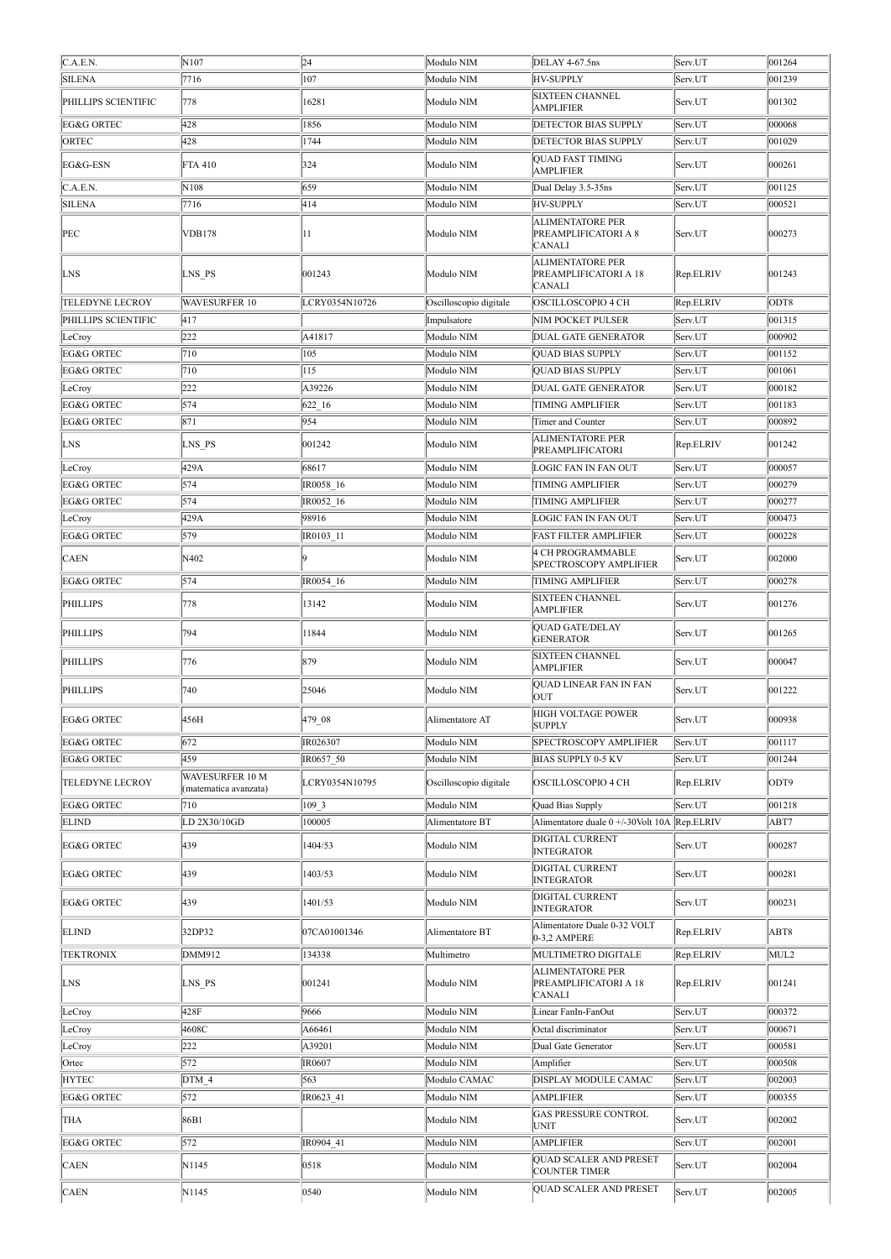| C.A.E.N.<br>24<br>N107<br>Modulo NIM<br>001264<br>DELAY 4-67.5ns<br>Serv.UT<br><b>SILENA</b><br>7716<br>107<br>Modulo NIM<br><b>HV-SUPPLY</b><br>001239<br>Serv.UT<br><b>SIXTEEN CHANNEL</b><br>PHILLIPS SCIENTIFIC<br>778<br>16281<br>Modulo NIM<br>001302<br>Serv.UT<br><b>AMPLIFIER</b><br>428<br>EG&G ORTEC<br>1856<br>Modulo NIM<br>000068<br><b>DETECTOR BIAS SUPPLY</b><br>Serv.UT<br>428<br>ORTEC<br>1744<br>Modulo NIM<br><b>DETECTOR BIAS SUPPLY</b><br>001029<br>Serv.UT<br><b>QUAD FAST TIMING</b><br>324<br>000261<br>EG&G-ESN<br>FTA 410<br>Modulo NIM<br>Serv.UT<br><b>AMPLIFIER</b><br>659<br>C.A.E.N.<br>N108<br>Modulo NIM<br>Dual Delay 3.5-35ns<br>Serv.UT<br>001125<br><b>SILENA</b><br>7716<br>414<br>Modulo NIM<br><b>HV-SUPPLY</b><br>000521<br>Serv.UT<br><b>ALIMENTATORE PER</b><br>000273<br>PEC<br><b>VDB178</b><br>11<br>Modulo NIM<br>PREAMPLIFICATORI A 8<br>Serv.UT<br><b>CANALI</b><br><b>ALIMENTATORE PER</b><br>LNS PS<br>001243<br>Rep.ELRIV<br>LNS<br>Modulo NIM<br>PREAMPLIFICATORI A 18<br>001243<br><b>CANALI</b><br><b>TELEDYNE LECROY</b><br>WAVESURFER 10<br>Rep.ELRIV<br>LCRY0354N10726<br>Oscilloscopio digitale<br>OSCILLOSCOPIO 4 CH<br>ODT8<br>417<br>PHILLIPS SCIENTIFIC<br>Impulsatore<br><b>NIM POCKET PULSER</b><br>Serv.UT<br>001315<br>222<br>A41817<br>Modulo NIM<br><b>DUAL GATE GENERATOR</b><br>000902<br>LeCroy<br>Serv.UT<br>EG&G ORTEC<br>710<br>105<br>Modulo NIM<br><b>QUAD BIAS SUPPLY</b><br>001152<br>Serv.UT<br>Modulo NIM<br><b>EG&amp;G ORTEC</b><br>710<br>115<br><b>QUAD BIAS SUPPLY</b><br>001061<br>Serv.UT<br>222<br>A39226<br>Modulo NIM<br>DUAL GATE GENERATOR<br>000182<br>Serv.UT<br>LeCroy<br>EG&G ORTEC<br>574<br>Modulo NIM<br>001183<br>622 16<br><b>TIMING AMPLIFIER</b><br>Serv.UT<br>871<br>954<br>EG&G ORTEC<br>Modulo NIM<br>Serv.UT<br>000892<br>Timer and Counter<br><b>ALIMENTATORE PER</b><br>LNS<br>LNS PS<br>001242<br>Modulo NIM<br>Rep.ELRIV<br>001242<br>PREAMPLIFICATORI<br>429A<br>68617<br>000057<br>Modulo NIM<br>LeCroy<br>LOGIC FAN IN FAN OUT<br>Serv.UT<br>IR0058 16<br>Modulo NIM<br>EG&G ORTEC<br>574<br>000279<br><b>TIMING AMPLIFIER</b><br>Serv.UT<br>574<br>Modulo NIM<br>EG&G ORTEC<br>IR0052 16<br>000277<br><b>TIMING AMPLIFIER</b><br>Serv.UT<br>429A<br>98916<br>Modulo NIM<br>000473<br>LOGIC FAN IN FAN OUT<br>Serv.UT<br>LeCroy<br>000228<br>EG&G ORTEC<br>579<br>IR0103 11<br>Modulo NIM<br><b>FAST FILTER AMPLIFIER</b><br>Serv.UT<br>4 CH PROGRAMMABLE<br>N402<br>Modulo NIM<br>Serv.UT<br>002000<br><b>CAEN</b><br><b>SPECTROSCOPY AMPLIFIER</b><br>574<br>EG&G ORTEC<br>IR0054 16<br>Modulo NIM<br><b>TIMING AMPLIFIER</b><br>000278<br>Serv.UT<br><b>SIXTEEN CHANNEL</b><br>778<br>13142<br>001276<br>Modulo NIM<br>Serv.UT<br>PHILLIPS<br><b>AMPLIFIER</b><br>QUAD GATE/DELAY<br>794<br>11844<br>Serv.UT<br>001265<br>PHILLIPS<br>Modulo NIM<br><b>GENERATOR</b><br><b>SIXTEEN CHANNEL</b><br>879<br>776<br>Modulo NIM<br>Serv.UT<br>000047<br>PHILLIPS<br><b>AMPLIFIER</b><br>QUAD LINEAR FAN IN FAN<br>740<br>25046<br>Modulo NIM<br>PHILLIPS<br>Serv.UT<br>001222<br><b>OUT</b><br><b>HIGH VOLTAGE POWER</b><br>479_08<br>000938<br>EG&G ORTEC<br>456H<br>Serv.UT<br>Alimentatore AT<br><b>SUPPLY</b><br>EG&G ORTEC<br>672<br>IR026307<br>Modulo NIM<br>001117<br>SPECTROSCOPY AMPLIFIER<br>Serv.UT<br>459<br>EG&G ORTEC<br>IR0657 50<br>Modulo NIM<br><b>BIAS SUPPLY 0-5 KV</b><br>001244<br>Serv.UT<br>WAVESURFER 10 M<br><b>TELEDYNE LECROY</b><br>LCRY0354N10795<br>ODT9<br>Oscilloscopio digitale<br>OSCILLOSCOPIO 4 CH<br>Rep.ELRIV<br>(matematica avanzata)<br>EG&G ORTEC<br>109 3<br>Modulo NIM<br>001218<br>710<br>Quad Bias Supply<br>Serv.UT<br>LD 2X30/10GD<br>100005<br>Alimentatore duale 0 +/-30Volt 10A Rep.ELRIV<br>ABT7<br><b>ELIND</b><br>Alimentatore BT<br>DIGITAL CURRENT<br>439<br>EG&G ORTEC<br>1404/53<br>Modulo NIM<br>000287<br>Serv.UT<br><b>INTEGRATOR</b><br><b>DIGITAL CURRENT</b><br>439<br>1403/53<br>Modulo NIM<br>000281<br>EG&G ORTEC<br>Serv.UT<br><b>INTEGRATOR</b><br>DIGITAL CURRENT<br>439<br>000231<br>EG&G ORTEC<br>1401/53<br>Modulo NIM<br>Serv.UT<br><b>INTEGRATOR</b><br>Alimentatore Duale 0-32 VOLT<br>32DP32<br>ABT8<br><b>ELIND</b><br>07CA01001346<br>Alimentatore BT<br>Rep.ELRIV<br>0-3,2 AMPERE<br>134338<br><b>TEKTRONIX</b><br>DMM912<br>Multimetro<br>MULTIMETRO DIGITALE<br>MUL2<br>Rep.ELRIV<br><b>ALIMENTATORE PER</b><br>LNS PS<br>001241<br>Modulo NIM<br>PREAMPLIFICATORI A 18<br>Rep.ELRIV<br>001241<br>LNS<br><b>CANALI</b><br>428F<br>9666<br>000372<br>LeCroy<br>Modulo NIM<br>Linear FanIn-FanOut<br>Serv.UT<br>4608C<br>A66461<br>Modulo NIM<br>000671<br>LeCroy<br>Octal discriminator<br>Serv.UT<br>222<br>000581<br>A39201<br>Modulo NIM<br>Dual Gate Generator<br>LeCroy<br>Serv.UT<br>572<br>IR0607<br>Modulo NIM<br>000508<br>Ortec<br>Amplifier<br>Serv.UT<br>DTM 4<br>563<br>Modulo CAMAC<br>DISPLAY MODULE CAMAC<br>002003<br><b>HYTEC</b><br>Serv.UT<br>572<br>EG&G ORTEC<br>IR0623 41<br>Modulo NIM<br><b>AMPLIFIER</b><br>000355<br>Serv.UT<br><b>GAS PRESSURE CONTROL</b><br>86B1<br>002002<br>Modulo NIM<br>Serv.UT<br>THA<br><b>UNIT</b><br>572<br><b>EG&amp;G ORTEC</b><br>IR0904 41<br>Modulo NIM<br>002001<br><b>AMPLIFIER</b><br>Serv.UT<br><b>QUAD SCALER AND PRESET</b><br><b>CAEN</b><br>N1145<br>0518<br>Modulo NIM<br>Serv.UT<br>002004<br><b>COUNTER TIMER</b><br>QUAD SCALER AND PRESET<br>0540<br>N1145<br>Modulo NIM<br>002005<br><b>CAEN</b><br>Serv.UT |  |  |  |  |
|--------------------------------------------------------------------------------------------------------------------------------------------------------------------------------------------------------------------------------------------------------------------------------------------------------------------------------------------------------------------------------------------------------------------------------------------------------------------------------------------------------------------------------------------------------------------------------------------------------------------------------------------------------------------------------------------------------------------------------------------------------------------------------------------------------------------------------------------------------------------------------------------------------------------------------------------------------------------------------------------------------------------------------------------------------------------------------------------------------------------------------------------------------------------------------------------------------------------------------------------------------------------------------------------------------------------------------------------------------------------------------------------------------------------------------------------------------------------------------------------------------------------------------------------------------------------------------------------------------------------------------------------------------------------------------------------------------------------------------------------------------------------------------------------------------------------------------------------------------------------------------------------------------------------------------------------------------------------------------------------------------------------------------------------------------------------------------------------------------------------------------------------------------------------------------------------------------------------------------------------------------------------------------------------------------------------------------------------------------------------------------------------------------------------------------------------------------------------------------------------------------------------------------------------------------------------------------------------------------------------------------------------------------------------------------------------------------------------------------------------------------------------------------------------------------------------------------------------------------------------------------------------------------------------------------------------------------------------------------------------------------------------------------------------------------------------------------------------------------------------------------------------------------------------------------------------------------------------------------------------------------------------------------------------------------------------------------------------------------------------------------------------------------------------------------------------------------------------------------------------------------------------------------------------------------------------------------------------------------------------------------------------------------------------------------------------------------------------------------------------------------------------------------------------------------------------------------------------------------------------------------------------------------------------------------------------------------------------------------------------------------------------------------------------------------------------------------------------------------------------------------------------------------------------------------------------------------------------------------------------------------------------------------------------------------------------------------------------------------------------------------------------------------------------------------------------------------------------------------------------------------------------------------------------------------------------------------------------------------------------------------------------------------------------------------------------------------------------------------------------------------------------------------------------------------------------------------------------------------------------------------------------------------------------------------------------------------------------------------------------------------------------------------------------------------------------------------------------------------------------------------------------------------------------------------------------------------------------------------------------------------------------------------------------------------------------------------------------------------------------------------------------------------------------------------------------------------------------------------------------|--|--|--|--|
|                                                                                                                                                                                                                                                                                                                                                                                                                                                                                                                                                                                                                                                                                                                                                                                                                                                                                                                                                                                                                                                                                                                                                                                                                                                                                                                                                                                                                                                                                                                                                                                                                                                                                                                                                                                                                                                                                                                                                                                                                                                                                                                                                                                                                                                                                                                                                                                                                                                                                                                                                                                                                                                                                                                                                                                                                                                                                                                                                                                                                                                                                                                                                                                                                                                                                                                                                                                                                                                                                                                                                                                                                                                                                                                                                                                                                                                                                                                                                                                                                                                                                                                                                                                                                                                                                                                                                                                                                                                                                                                                                                                                                                                                                                                                                                                                                                                                                                                                                                                                                                                                                                                                                                                                                                                                                                                                                                                                                                                                                            |  |  |  |  |
|                                                                                                                                                                                                                                                                                                                                                                                                                                                                                                                                                                                                                                                                                                                                                                                                                                                                                                                                                                                                                                                                                                                                                                                                                                                                                                                                                                                                                                                                                                                                                                                                                                                                                                                                                                                                                                                                                                                                                                                                                                                                                                                                                                                                                                                                                                                                                                                                                                                                                                                                                                                                                                                                                                                                                                                                                                                                                                                                                                                                                                                                                                                                                                                                                                                                                                                                                                                                                                                                                                                                                                                                                                                                                                                                                                                                                                                                                                                                                                                                                                                                                                                                                                                                                                                                                                                                                                                                                                                                                                                                                                                                                                                                                                                                                                                                                                                                                                                                                                                                                                                                                                                                                                                                                                                                                                                                                                                                                                                                                            |  |  |  |  |
|                                                                                                                                                                                                                                                                                                                                                                                                                                                                                                                                                                                                                                                                                                                                                                                                                                                                                                                                                                                                                                                                                                                                                                                                                                                                                                                                                                                                                                                                                                                                                                                                                                                                                                                                                                                                                                                                                                                                                                                                                                                                                                                                                                                                                                                                                                                                                                                                                                                                                                                                                                                                                                                                                                                                                                                                                                                                                                                                                                                                                                                                                                                                                                                                                                                                                                                                                                                                                                                                                                                                                                                                                                                                                                                                                                                                                                                                                                                                                                                                                                                                                                                                                                                                                                                                                                                                                                                                                                                                                                                                                                                                                                                                                                                                                                                                                                                                                                                                                                                                                                                                                                                                                                                                                                                                                                                                                                                                                                                                                            |  |  |  |  |
|                                                                                                                                                                                                                                                                                                                                                                                                                                                                                                                                                                                                                                                                                                                                                                                                                                                                                                                                                                                                                                                                                                                                                                                                                                                                                                                                                                                                                                                                                                                                                                                                                                                                                                                                                                                                                                                                                                                                                                                                                                                                                                                                                                                                                                                                                                                                                                                                                                                                                                                                                                                                                                                                                                                                                                                                                                                                                                                                                                                                                                                                                                                                                                                                                                                                                                                                                                                                                                                                                                                                                                                                                                                                                                                                                                                                                                                                                                                                                                                                                                                                                                                                                                                                                                                                                                                                                                                                                                                                                                                                                                                                                                                                                                                                                                                                                                                                                                                                                                                                                                                                                                                                                                                                                                                                                                                                                                                                                                                                                            |  |  |  |  |
|                                                                                                                                                                                                                                                                                                                                                                                                                                                                                                                                                                                                                                                                                                                                                                                                                                                                                                                                                                                                                                                                                                                                                                                                                                                                                                                                                                                                                                                                                                                                                                                                                                                                                                                                                                                                                                                                                                                                                                                                                                                                                                                                                                                                                                                                                                                                                                                                                                                                                                                                                                                                                                                                                                                                                                                                                                                                                                                                                                                                                                                                                                                                                                                                                                                                                                                                                                                                                                                                                                                                                                                                                                                                                                                                                                                                                                                                                                                                                                                                                                                                                                                                                                                                                                                                                                                                                                                                                                                                                                                                                                                                                                                                                                                                                                                                                                                                                                                                                                                                                                                                                                                                                                                                                                                                                                                                                                                                                                                                                            |  |  |  |  |
|                                                                                                                                                                                                                                                                                                                                                                                                                                                                                                                                                                                                                                                                                                                                                                                                                                                                                                                                                                                                                                                                                                                                                                                                                                                                                                                                                                                                                                                                                                                                                                                                                                                                                                                                                                                                                                                                                                                                                                                                                                                                                                                                                                                                                                                                                                                                                                                                                                                                                                                                                                                                                                                                                                                                                                                                                                                                                                                                                                                                                                                                                                                                                                                                                                                                                                                                                                                                                                                                                                                                                                                                                                                                                                                                                                                                                                                                                                                                                                                                                                                                                                                                                                                                                                                                                                                                                                                                                                                                                                                                                                                                                                                                                                                                                                                                                                                                                                                                                                                                                                                                                                                                                                                                                                                                                                                                                                                                                                                                                            |  |  |  |  |
|                                                                                                                                                                                                                                                                                                                                                                                                                                                                                                                                                                                                                                                                                                                                                                                                                                                                                                                                                                                                                                                                                                                                                                                                                                                                                                                                                                                                                                                                                                                                                                                                                                                                                                                                                                                                                                                                                                                                                                                                                                                                                                                                                                                                                                                                                                                                                                                                                                                                                                                                                                                                                                                                                                                                                                                                                                                                                                                                                                                                                                                                                                                                                                                                                                                                                                                                                                                                                                                                                                                                                                                                                                                                                                                                                                                                                                                                                                                                                                                                                                                                                                                                                                                                                                                                                                                                                                                                                                                                                                                                                                                                                                                                                                                                                                                                                                                                                                                                                                                                                                                                                                                                                                                                                                                                                                                                                                                                                                                                                            |  |  |  |  |
|                                                                                                                                                                                                                                                                                                                                                                                                                                                                                                                                                                                                                                                                                                                                                                                                                                                                                                                                                                                                                                                                                                                                                                                                                                                                                                                                                                                                                                                                                                                                                                                                                                                                                                                                                                                                                                                                                                                                                                                                                                                                                                                                                                                                                                                                                                                                                                                                                                                                                                                                                                                                                                                                                                                                                                                                                                                                                                                                                                                                                                                                                                                                                                                                                                                                                                                                                                                                                                                                                                                                                                                                                                                                                                                                                                                                                                                                                                                                                                                                                                                                                                                                                                                                                                                                                                                                                                                                                                                                                                                                                                                                                                                                                                                                                                                                                                                                                                                                                                                                                                                                                                                                                                                                                                                                                                                                                                                                                                                                                            |  |  |  |  |
|                                                                                                                                                                                                                                                                                                                                                                                                                                                                                                                                                                                                                                                                                                                                                                                                                                                                                                                                                                                                                                                                                                                                                                                                                                                                                                                                                                                                                                                                                                                                                                                                                                                                                                                                                                                                                                                                                                                                                                                                                                                                                                                                                                                                                                                                                                                                                                                                                                                                                                                                                                                                                                                                                                                                                                                                                                                                                                                                                                                                                                                                                                                                                                                                                                                                                                                                                                                                                                                                                                                                                                                                                                                                                                                                                                                                                                                                                                                                                                                                                                                                                                                                                                                                                                                                                                                                                                                                                                                                                                                                                                                                                                                                                                                                                                                                                                                                                                                                                                                                                                                                                                                                                                                                                                                                                                                                                                                                                                                                                            |  |  |  |  |
|                                                                                                                                                                                                                                                                                                                                                                                                                                                                                                                                                                                                                                                                                                                                                                                                                                                                                                                                                                                                                                                                                                                                                                                                                                                                                                                                                                                                                                                                                                                                                                                                                                                                                                                                                                                                                                                                                                                                                                                                                                                                                                                                                                                                                                                                                                                                                                                                                                                                                                                                                                                                                                                                                                                                                                                                                                                                                                                                                                                                                                                                                                                                                                                                                                                                                                                                                                                                                                                                                                                                                                                                                                                                                                                                                                                                                                                                                                                                                                                                                                                                                                                                                                                                                                                                                                                                                                                                                                                                                                                                                                                                                                                                                                                                                                                                                                                                                                                                                                                                                                                                                                                                                                                                                                                                                                                                                                                                                                                                                            |  |  |  |  |
|                                                                                                                                                                                                                                                                                                                                                                                                                                                                                                                                                                                                                                                                                                                                                                                                                                                                                                                                                                                                                                                                                                                                                                                                                                                                                                                                                                                                                                                                                                                                                                                                                                                                                                                                                                                                                                                                                                                                                                                                                                                                                                                                                                                                                                                                                                                                                                                                                                                                                                                                                                                                                                                                                                                                                                                                                                                                                                                                                                                                                                                                                                                                                                                                                                                                                                                                                                                                                                                                                                                                                                                                                                                                                                                                                                                                                                                                                                                                                                                                                                                                                                                                                                                                                                                                                                                                                                                                                                                                                                                                                                                                                                                                                                                                                                                                                                                                                                                                                                                                                                                                                                                                                                                                                                                                                                                                                                                                                                                                                            |  |  |  |  |
|                                                                                                                                                                                                                                                                                                                                                                                                                                                                                                                                                                                                                                                                                                                                                                                                                                                                                                                                                                                                                                                                                                                                                                                                                                                                                                                                                                                                                                                                                                                                                                                                                                                                                                                                                                                                                                                                                                                                                                                                                                                                                                                                                                                                                                                                                                                                                                                                                                                                                                                                                                                                                                                                                                                                                                                                                                                                                                                                                                                                                                                                                                                                                                                                                                                                                                                                                                                                                                                                                                                                                                                                                                                                                                                                                                                                                                                                                                                                                                                                                                                                                                                                                                                                                                                                                                                                                                                                                                                                                                                                                                                                                                                                                                                                                                                                                                                                                                                                                                                                                                                                                                                                                                                                                                                                                                                                                                                                                                                                                            |  |  |  |  |
|                                                                                                                                                                                                                                                                                                                                                                                                                                                                                                                                                                                                                                                                                                                                                                                                                                                                                                                                                                                                                                                                                                                                                                                                                                                                                                                                                                                                                                                                                                                                                                                                                                                                                                                                                                                                                                                                                                                                                                                                                                                                                                                                                                                                                                                                                                                                                                                                                                                                                                                                                                                                                                                                                                                                                                                                                                                                                                                                                                                                                                                                                                                                                                                                                                                                                                                                                                                                                                                                                                                                                                                                                                                                                                                                                                                                                                                                                                                                                                                                                                                                                                                                                                                                                                                                                                                                                                                                                                                                                                                                                                                                                                                                                                                                                                                                                                                                                                                                                                                                                                                                                                                                                                                                                                                                                                                                                                                                                                                                                            |  |  |  |  |
|                                                                                                                                                                                                                                                                                                                                                                                                                                                                                                                                                                                                                                                                                                                                                                                                                                                                                                                                                                                                                                                                                                                                                                                                                                                                                                                                                                                                                                                                                                                                                                                                                                                                                                                                                                                                                                                                                                                                                                                                                                                                                                                                                                                                                                                                                                                                                                                                                                                                                                                                                                                                                                                                                                                                                                                                                                                                                                                                                                                                                                                                                                                                                                                                                                                                                                                                                                                                                                                                                                                                                                                                                                                                                                                                                                                                                                                                                                                                                                                                                                                                                                                                                                                                                                                                                                                                                                                                                                                                                                                                                                                                                                                                                                                                                                                                                                                                                                                                                                                                                                                                                                                                                                                                                                                                                                                                                                                                                                                                                            |  |  |  |  |
|                                                                                                                                                                                                                                                                                                                                                                                                                                                                                                                                                                                                                                                                                                                                                                                                                                                                                                                                                                                                                                                                                                                                                                                                                                                                                                                                                                                                                                                                                                                                                                                                                                                                                                                                                                                                                                                                                                                                                                                                                                                                                                                                                                                                                                                                                                                                                                                                                                                                                                                                                                                                                                                                                                                                                                                                                                                                                                                                                                                                                                                                                                                                                                                                                                                                                                                                                                                                                                                                                                                                                                                                                                                                                                                                                                                                                                                                                                                                                                                                                                                                                                                                                                                                                                                                                                                                                                                                                                                                                                                                                                                                                                                                                                                                                                                                                                                                                                                                                                                                                                                                                                                                                                                                                                                                                                                                                                                                                                                                                            |  |  |  |  |
|                                                                                                                                                                                                                                                                                                                                                                                                                                                                                                                                                                                                                                                                                                                                                                                                                                                                                                                                                                                                                                                                                                                                                                                                                                                                                                                                                                                                                                                                                                                                                                                                                                                                                                                                                                                                                                                                                                                                                                                                                                                                                                                                                                                                                                                                                                                                                                                                                                                                                                                                                                                                                                                                                                                                                                                                                                                                                                                                                                                                                                                                                                                                                                                                                                                                                                                                                                                                                                                                                                                                                                                                                                                                                                                                                                                                                                                                                                                                                                                                                                                                                                                                                                                                                                                                                                                                                                                                                                                                                                                                                                                                                                                                                                                                                                                                                                                                                                                                                                                                                                                                                                                                                                                                                                                                                                                                                                                                                                                                                            |  |  |  |  |
|                                                                                                                                                                                                                                                                                                                                                                                                                                                                                                                                                                                                                                                                                                                                                                                                                                                                                                                                                                                                                                                                                                                                                                                                                                                                                                                                                                                                                                                                                                                                                                                                                                                                                                                                                                                                                                                                                                                                                                                                                                                                                                                                                                                                                                                                                                                                                                                                                                                                                                                                                                                                                                                                                                                                                                                                                                                                                                                                                                                                                                                                                                                                                                                                                                                                                                                                                                                                                                                                                                                                                                                                                                                                                                                                                                                                                                                                                                                                                                                                                                                                                                                                                                                                                                                                                                                                                                                                                                                                                                                                                                                                                                                                                                                                                                                                                                                                                                                                                                                                                                                                                                                                                                                                                                                                                                                                                                                                                                                                                            |  |  |  |  |
|                                                                                                                                                                                                                                                                                                                                                                                                                                                                                                                                                                                                                                                                                                                                                                                                                                                                                                                                                                                                                                                                                                                                                                                                                                                                                                                                                                                                                                                                                                                                                                                                                                                                                                                                                                                                                                                                                                                                                                                                                                                                                                                                                                                                                                                                                                                                                                                                                                                                                                                                                                                                                                                                                                                                                                                                                                                                                                                                                                                                                                                                                                                                                                                                                                                                                                                                                                                                                                                                                                                                                                                                                                                                                                                                                                                                                                                                                                                                                                                                                                                                                                                                                                                                                                                                                                                                                                                                                                                                                                                                                                                                                                                                                                                                                                                                                                                                                                                                                                                                                                                                                                                                                                                                                                                                                                                                                                                                                                                                                            |  |  |  |  |
|                                                                                                                                                                                                                                                                                                                                                                                                                                                                                                                                                                                                                                                                                                                                                                                                                                                                                                                                                                                                                                                                                                                                                                                                                                                                                                                                                                                                                                                                                                                                                                                                                                                                                                                                                                                                                                                                                                                                                                                                                                                                                                                                                                                                                                                                                                                                                                                                                                                                                                                                                                                                                                                                                                                                                                                                                                                                                                                                                                                                                                                                                                                                                                                                                                                                                                                                                                                                                                                                                                                                                                                                                                                                                                                                                                                                                                                                                                                                                                                                                                                                                                                                                                                                                                                                                                                                                                                                                                                                                                                                                                                                                                                                                                                                                                                                                                                                                                                                                                                                                                                                                                                                                                                                                                                                                                                                                                                                                                                                                            |  |  |  |  |
|                                                                                                                                                                                                                                                                                                                                                                                                                                                                                                                                                                                                                                                                                                                                                                                                                                                                                                                                                                                                                                                                                                                                                                                                                                                                                                                                                                                                                                                                                                                                                                                                                                                                                                                                                                                                                                                                                                                                                                                                                                                                                                                                                                                                                                                                                                                                                                                                                                                                                                                                                                                                                                                                                                                                                                                                                                                                                                                                                                                                                                                                                                                                                                                                                                                                                                                                                                                                                                                                                                                                                                                                                                                                                                                                                                                                                                                                                                                                                                                                                                                                                                                                                                                                                                                                                                                                                                                                                                                                                                                                                                                                                                                                                                                                                                                                                                                                                                                                                                                                                                                                                                                                                                                                                                                                                                                                                                                                                                                                                            |  |  |  |  |
|                                                                                                                                                                                                                                                                                                                                                                                                                                                                                                                                                                                                                                                                                                                                                                                                                                                                                                                                                                                                                                                                                                                                                                                                                                                                                                                                                                                                                                                                                                                                                                                                                                                                                                                                                                                                                                                                                                                                                                                                                                                                                                                                                                                                                                                                                                                                                                                                                                                                                                                                                                                                                                                                                                                                                                                                                                                                                                                                                                                                                                                                                                                                                                                                                                                                                                                                                                                                                                                                                                                                                                                                                                                                                                                                                                                                                                                                                                                                                                                                                                                                                                                                                                                                                                                                                                                                                                                                                                                                                                                                                                                                                                                                                                                                                                                                                                                                                                                                                                                                                                                                                                                                                                                                                                                                                                                                                                                                                                                                                            |  |  |  |  |
|                                                                                                                                                                                                                                                                                                                                                                                                                                                                                                                                                                                                                                                                                                                                                                                                                                                                                                                                                                                                                                                                                                                                                                                                                                                                                                                                                                                                                                                                                                                                                                                                                                                                                                                                                                                                                                                                                                                                                                                                                                                                                                                                                                                                                                                                                                                                                                                                                                                                                                                                                                                                                                                                                                                                                                                                                                                                                                                                                                                                                                                                                                                                                                                                                                                                                                                                                                                                                                                                                                                                                                                                                                                                                                                                                                                                                                                                                                                                                                                                                                                                                                                                                                                                                                                                                                                                                                                                                                                                                                                                                                                                                                                                                                                                                                                                                                                                                                                                                                                                                                                                                                                                                                                                                                                                                                                                                                                                                                                                                            |  |  |  |  |
|                                                                                                                                                                                                                                                                                                                                                                                                                                                                                                                                                                                                                                                                                                                                                                                                                                                                                                                                                                                                                                                                                                                                                                                                                                                                                                                                                                                                                                                                                                                                                                                                                                                                                                                                                                                                                                                                                                                                                                                                                                                                                                                                                                                                                                                                                                                                                                                                                                                                                                                                                                                                                                                                                                                                                                                                                                                                                                                                                                                                                                                                                                                                                                                                                                                                                                                                                                                                                                                                                                                                                                                                                                                                                                                                                                                                                                                                                                                                                                                                                                                                                                                                                                                                                                                                                                                                                                                                                                                                                                                                                                                                                                                                                                                                                                                                                                                                                                                                                                                                                                                                                                                                                                                                                                                                                                                                                                                                                                                                                            |  |  |  |  |
|                                                                                                                                                                                                                                                                                                                                                                                                                                                                                                                                                                                                                                                                                                                                                                                                                                                                                                                                                                                                                                                                                                                                                                                                                                                                                                                                                                                                                                                                                                                                                                                                                                                                                                                                                                                                                                                                                                                                                                                                                                                                                                                                                                                                                                                                                                                                                                                                                                                                                                                                                                                                                                                                                                                                                                                                                                                                                                                                                                                                                                                                                                                                                                                                                                                                                                                                                                                                                                                                                                                                                                                                                                                                                                                                                                                                                                                                                                                                                                                                                                                                                                                                                                                                                                                                                                                                                                                                                                                                                                                                                                                                                                                                                                                                                                                                                                                                                                                                                                                                                                                                                                                                                                                                                                                                                                                                                                                                                                                                                            |  |  |  |  |
|                                                                                                                                                                                                                                                                                                                                                                                                                                                                                                                                                                                                                                                                                                                                                                                                                                                                                                                                                                                                                                                                                                                                                                                                                                                                                                                                                                                                                                                                                                                                                                                                                                                                                                                                                                                                                                                                                                                                                                                                                                                                                                                                                                                                                                                                                                                                                                                                                                                                                                                                                                                                                                                                                                                                                                                                                                                                                                                                                                                                                                                                                                                                                                                                                                                                                                                                                                                                                                                                                                                                                                                                                                                                                                                                                                                                                                                                                                                                                                                                                                                                                                                                                                                                                                                                                                                                                                                                                                                                                                                                                                                                                                                                                                                                                                                                                                                                                                                                                                                                                                                                                                                                                                                                                                                                                                                                                                                                                                                                                            |  |  |  |  |
|                                                                                                                                                                                                                                                                                                                                                                                                                                                                                                                                                                                                                                                                                                                                                                                                                                                                                                                                                                                                                                                                                                                                                                                                                                                                                                                                                                                                                                                                                                                                                                                                                                                                                                                                                                                                                                                                                                                                                                                                                                                                                                                                                                                                                                                                                                                                                                                                                                                                                                                                                                                                                                                                                                                                                                                                                                                                                                                                                                                                                                                                                                                                                                                                                                                                                                                                                                                                                                                                                                                                                                                                                                                                                                                                                                                                                                                                                                                                                                                                                                                                                                                                                                                                                                                                                                                                                                                                                                                                                                                                                                                                                                                                                                                                                                                                                                                                                                                                                                                                                                                                                                                                                                                                                                                                                                                                                                                                                                                                                            |  |  |  |  |
|                                                                                                                                                                                                                                                                                                                                                                                                                                                                                                                                                                                                                                                                                                                                                                                                                                                                                                                                                                                                                                                                                                                                                                                                                                                                                                                                                                                                                                                                                                                                                                                                                                                                                                                                                                                                                                                                                                                                                                                                                                                                                                                                                                                                                                                                                                                                                                                                                                                                                                                                                                                                                                                                                                                                                                                                                                                                                                                                                                                                                                                                                                                                                                                                                                                                                                                                                                                                                                                                                                                                                                                                                                                                                                                                                                                                                                                                                                                                                                                                                                                                                                                                                                                                                                                                                                                                                                                                                                                                                                                                                                                                                                                                                                                                                                                                                                                                                                                                                                                                                                                                                                                                                                                                                                                                                                                                                                                                                                                                                            |  |  |  |  |
|                                                                                                                                                                                                                                                                                                                                                                                                                                                                                                                                                                                                                                                                                                                                                                                                                                                                                                                                                                                                                                                                                                                                                                                                                                                                                                                                                                                                                                                                                                                                                                                                                                                                                                                                                                                                                                                                                                                                                                                                                                                                                                                                                                                                                                                                                                                                                                                                                                                                                                                                                                                                                                                                                                                                                                                                                                                                                                                                                                                                                                                                                                                                                                                                                                                                                                                                                                                                                                                                                                                                                                                                                                                                                                                                                                                                                                                                                                                                                                                                                                                                                                                                                                                                                                                                                                                                                                                                                                                                                                                                                                                                                                                                                                                                                                                                                                                                                                                                                                                                                                                                                                                                                                                                                                                                                                                                                                                                                                                                                            |  |  |  |  |
|                                                                                                                                                                                                                                                                                                                                                                                                                                                                                                                                                                                                                                                                                                                                                                                                                                                                                                                                                                                                                                                                                                                                                                                                                                                                                                                                                                                                                                                                                                                                                                                                                                                                                                                                                                                                                                                                                                                                                                                                                                                                                                                                                                                                                                                                                                                                                                                                                                                                                                                                                                                                                                                                                                                                                                                                                                                                                                                                                                                                                                                                                                                                                                                                                                                                                                                                                                                                                                                                                                                                                                                                                                                                                                                                                                                                                                                                                                                                                                                                                                                                                                                                                                                                                                                                                                                                                                                                                                                                                                                                                                                                                                                                                                                                                                                                                                                                                                                                                                                                                                                                                                                                                                                                                                                                                                                                                                                                                                                                                            |  |  |  |  |
|                                                                                                                                                                                                                                                                                                                                                                                                                                                                                                                                                                                                                                                                                                                                                                                                                                                                                                                                                                                                                                                                                                                                                                                                                                                                                                                                                                                                                                                                                                                                                                                                                                                                                                                                                                                                                                                                                                                                                                                                                                                                                                                                                                                                                                                                                                                                                                                                                                                                                                                                                                                                                                                                                                                                                                                                                                                                                                                                                                                                                                                                                                                                                                                                                                                                                                                                                                                                                                                                                                                                                                                                                                                                                                                                                                                                                                                                                                                                                                                                                                                                                                                                                                                                                                                                                                                                                                                                                                                                                                                                                                                                                                                                                                                                                                                                                                                                                                                                                                                                                                                                                                                                                                                                                                                                                                                                                                                                                                                                                            |  |  |  |  |
|                                                                                                                                                                                                                                                                                                                                                                                                                                                                                                                                                                                                                                                                                                                                                                                                                                                                                                                                                                                                                                                                                                                                                                                                                                                                                                                                                                                                                                                                                                                                                                                                                                                                                                                                                                                                                                                                                                                                                                                                                                                                                                                                                                                                                                                                                                                                                                                                                                                                                                                                                                                                                                                                                                                                                                                                                                                                                                                                                                                                                                                                                                                                                                                                                                                                                                                                                                                                                                                                                                                                                                                                                                                                                                                                                                                                                                                                                                                                                                                                                                                                                                                                                                                                                                                                                                                                                                                                                                                                                                                                                                                                                                                                                                                                                                                                                                                                                                                                                                                                                                                                                                                                                                                                                                                                                                                                                                                                                                                                                            |  |  |  |  |
|                                                                                                                                                                                                                                                                                                                                                                                                                                                                                                                                                                                                                                                                                                                                                                                                                                                                                                                                                                                                                                                                                                                                                                                                                                                                                                                                                                                                                                                                                                                                                                                                                                                                                                                                                                                                                                                                                                                                                                                                                                                                                                                                                                                                                                                                                                                                                                                                                                                                                                                                                                                                                                                                                                                                                                                                                                                                                                                                                                                                                                                                                                                                                                                                                                                                                                                                                                                                                                                                                                                                                                                                                                                                                                                                                                                                                                                                                                                                                                                                                                                                                                                                                                                                                                                                                                                                                                                                                                                                                                                                                                                                                                                                                                                                                                                                                                                                                                                                                                                                                                                                                                                                                                                                                                                                                                                                                                                                                                                                                            |  |  |  |  |
|                                                                                                                                                                                                                                                                                                                                                                                                                                                                                                                                                                                                                                                                                                                                                                                                                                                                                                                                                                                                                                                                                                                                                                                                                                                                                                                                                                                                                                                                                                                                                                                                                                                                                                                                                                                                                                                                                                                                                                                                                                                                                                                                                                                                                                                                                                                                                                                                                                                                                                                                                                                                                                                                                                                                                                                                                                                                                                                                                                                                                                                                                                                                                                                                                                                                                                                                                                                                                                                                                                                                                                                                                                                                                                                                                                                                                                                                                                                                                                                                                                                                                                                                                                                                                                                                                                                                                                                                                                                                                                                                                                                                                                                                                                                                                                                                                                                                                                                                                                                                                                                                                                                                                                                                                                                                                                                                                                                                                                                                                            |  |  |  |  |
|                                                                                                                                                                                                                                                                                                                                                                                                                                                                                                                                                                                                                                                                                                                                                                                                                                                                                                                                                                                                                                                                                                                                                                                                                                                                                                                                                                                                                                                                                                                                                                                                                                                                                                                                                                                                                                                                                                                                                                                                                                                                                                                                                                                                                                                                                                                                                                                                                                                                                                                                                                                                                                                                                                                                                                                                                                                                                                                                                                                                                                                                                                                                                                                                                                                                                                                                                                                                                                                                                                                                                                                                                                                                                                                                                                                                                                                                                                                                                                                                                                                                                                                                                                                                                                                                                                                                                                                                                                                                                                                                                                                                                                                                                                                                                                                                                                                                                                                                                                                                                                                                                                                                                                                                                                                                                                                                                                                                                                                                                            |  |  |  |  |
|                                                                                                                                                                                                                                                                                                                                                                                                                                                                                                                                                                                                                                                                                                                                                                                                                                                                                                                                                                                                                                                                                                                                                                                                                                                                                                                                                                                                                                                                                                                                                                                                                                                                                                                                                                                                                                                                                                                                                                                                                                                                                                                                                                                                                                                                                                                                                                                                                                                                                                                                                                                                                                                                                                                                                                                                                                                                                                                                                                                                                                                                                                                                                                                                                                                                                                                                                                                                                                                                                                                                                                                                                                                                                                                                                                                                                                                                                                                                                                                                                                                                                                                                                                                                                                                                                                                                                                                                                                                                                                                                                                                                                                                                                                                                                                                                                                                                                                                                                                                                                                                                                                                                                                                                                                                                                                                                                                                                                                                                                            |  |  |  |  |
|                                                                                                                                                                                                                                                                                                                                                                                                                                                                                                                                                                                                                                                                                                                                                                                                                                                                                                                                                                                                                                                                                                                                                                                                                                                                                                                                                                                                                                                                                                                                                                                                                                                                                                                                                                                                                                                                                                                                                                                                                                                                                                                                                                                                                                                                                                                                                                                                                                                                                                                                                                                                                                                                                                                                                                                                                                                                                                                                                                                                                                                                                                                                                                                                                                                                                                                                                                                                                                                                                                                                                                                                                                                                                                                                                                                                                                                                                                                                                                                                                                                                                                                                                                                                                                                                                                                                                                                                                                                                                                                                                                                                                                                                                                                                                                                                                                                                                                                                                                                                                                                                                                                                                                                                                                                                                                                                                                                                                                                                                            |  |  |  |  |
|                                                                                                                                                                                                                                                                                                                                                                                                                                                                                                                                                                                                                                                                                                                                                                                                                                                                                                                                                                                                                                                                                                                                                                                                                                                                                                                                                                                                                                                                                                                                                                                                                                                                                                                                                                                                                                                                                                                                                                                                                                                                                                                                                                                                                                                                                                                                                                                                                                                                                                                                                                                                                                                                                                                                                                                                                                                                                                                                                                                                                                                                                                                                                                                                                                                                                                                                                                                                                                                                                                                                                                                                                                                                                                                                                                                                                                                                                                                                                                                                                                                                                                                                                                                                                                                                                                                                                                                                                                                                                                                                                                                                                                                                                                                                                                                                                                                                                                                                                                                                                                                                                                                                                                                                                                                                                                                                                                                                                                                                                            |  |  |  |  |
|                                                                                                                                                                                                                                                                                                                                                                                                                                                                                                                                                                                                                                                                                                                                                                                                                                                                                                                                                                                                                                                                                                                                                                                                                                                                                                                                                                                                                                                                                                                                                                                                                                                                                                                                                                                                                                                                                                                                                                                                                                                                                                                                                                                                                                                                                                                                                                                                                                                                                                                                                                                                                                                                                                                                                                                                                                                                                                                                                                                                                                                                                                                                                                                                                                                                                                                                                                                                                                                                                                                                                                                                                                                                                                                                                                                                                                                                                                                                                                                                                                                                                                                                                                                                                                                                                                                                                                                                                                                                                                                                                                                                                                                                                                                                                                                                                                                                                                                                                                                                                                                                                                                                                                                                                                                                                                                                                                                                                                                                                            |  |  |  |  |
|                                                                                                                                                                                                                                                                                                                                                                                                                                                                                                                                                                                                                                                                                                                                                                                                                                                                                                                                                                                                                                                                                                                                                                                                                                                                                                                                                                                                                                                                                                                                                                                                                                                                                                                                                                                                                                                                                                                                                                                                                                                                                                                                                                                                                                                                                                                                                                                                                                                                                                                                                                                                                                                                                                                                                                                                                                                                                                                                                                                                                                                                                                                                                                                                                                                                                                                                                                                                                                                                                                                                                                                                                                                                                                                                                                                                                                                                                                                                                                                                                                                                                                                                                                                                                                                                                                                                                                                                                                                                                                                                                                                                                                                                                                                                                                                                                                                                                                                                                                                                                                                                                                                                                                                                                                                                                                                                                                                                                                                                                            |  |  |  |  |
|                                                                                                                                                                                                                                                                                                                                                                                                                                                                                                                                                                                                                                                                                                                                                                                                                                                                                                                                                                                                                                                                                                                                                                                                                                                                                                                                                                                                                                                                                                                                                                                                                                                                                                                                                                                                                                                                                                                                                                                                                                                                                                                                                                                                                                                                                                                                                                                                                                                                                                                                                                                                                                                                                                                                                                                                                                                                                                                                                                                                                                                                                                                                                                                                                                                                                                                                                                                                                                                                                                                                                                                                                                                                                                                                                                                                                                                                                                                                                                                                                                                                                                                                                                                                                                                                                                                                                                                                                                                                                                                                                                                                                                                                                                                                                                                                                                                                                                                                                                                                                                                                                                                                                                                                                                                                                                                                                                                                                                                                                            |  |  |  |  |
|                                                                                                                                                                                                                                                                                                                                                                                                                                                                                                                                                                                                                                                                                                                                                                                                                                                                                                                                                                                                                                                                                                                                                                                                                                                                                                                                                                                                                                                                                                                                                                                                                                                                                                                                                                                                                                                                                                                                                                                                                                                                                                                                                                                                                                                                                                                                                                                                                                                                                                                                                                                                                                                                                                                                                                                                                                                                                                                                                                                                                                                                                                                                                                                                                                                                                                                                                                                                                                                                                                                                                                                                                                                                                                                                                                                                                                                                                                                                                                                                                                                                                                                                                                                                                                                                                                                                                                                                                                                                                                                                                                                                                                                                                                                                                                                                                                                                                                                                                                                                                                                                                                                                                                                                                                                                                                                                                                                                                                                                                            |  |  |  |  |
|                                                                                                                                                                                                                                                                                                                                                                                                                                                                                                                                                                                                                                                                                                                                                                                                                                                                                                                                                                                                                                                                                                                                                                                                                                                                                                                                                                                                                                                                                                                                                                                                                                                                                                                                                                                                                                                                                                                                                                                                                                                                                                                                                                                                                                                                                                                                                                                                                                                                                                                                                                                                                                                                                                                                                                                                                                                                                                                                                                                                                                                                                                                                                                                                                                                                                                                                                                                                                                                                                                                                                                                                                                                                                                                                                                                                                                                                                                                                                                                                                                                                                                                                                                                                                                                                                                                                                                                                                                                                                                                                                                                                                                                                                                                                                                                                                                                                                                                                                                                                                                                                                                                                                                                                                                                                                                                                                                                                                                                                                            |  |  |  |  |
|                                                                                                                                                                                                                                                                                                                                                                                                                                                                                                                                                                                                                                                                                                                                                                                                                                                                                                                                                                                                                                                                                                                                                                                                                                                                                                                                                                                                                                                                                                                                                                                                                                                                                                                                                                                                                                                                                                                                                                                                                                                                                                                                                                                                                                                                                                                                                                                                                                                                                                                                                                                                                                                                                                                                                                                                                                                                                                                                                                                                                                                                                                                                                                                                                                                                                                                                                                                                                                                                                                                                                                                                                                                                                                                                                                                                                                                                                                                                                                                                                                                                                                                                                                                                                                                                                                                                                                                                                                                                                                                                                                                                                                                                                                                                                                                                                                                                                                                                                                                                                                                                                                                                                                                                                                                                                                                                                                                                                                                                                            |  |  |  |  |
|                                                                                                                                                                                                                                                                                                                                                                                                                                                                                                                                                                                                                                                                                                                                                                                                                                                                                                                                                                                                                                                                                                                                                                                                                                                                                                                                                                                                                                                                                                                                                                                                                                                                                                                                                                                                                                                                                                                                                                                                                                                                                                                                                                                                                                                                                                                                                                                                                                                                                                                                                                                                                                                                                                                                                                                                                                                                                                                                                                                                                                                                                                                                                                                                                                                                                                                                                                                                                                                                                                                                                                                                                                                                                                                                                                                                                                                                                                                                                                                                                                                                                                                                                                                                                                                                                                                                                                                                                                                                                                                                                                                                                                                                                                                                                                                                                                                                                                                                                                                                                                                                                                                                                                                                                                                                                                                                                                                                                                                                                            |  |  |  |  |
|                                                                                                                                                                                                                                                                                                                                                                                                                                                                                                                                                                                                                                                                                                                                                                                                                                                                                                                                                                                                                                                                                                                                                                                                                                                                                                                                                                                                                                                                                                                                                                                                                                                                                                                                                                                                                                                                                                                                                                                                                                                                                                                                                                                                                                                                                                                                                                                                                                                                                                                                                                                                                                                                                                                                                                                                                                                                                                                                                                                                                                                                                                                                                                                                                                                                                                                                                                                                                                                                                                                                                                                                                                                                                                                                                                                                                                                                                                                                                                                                                                                                                                                                                                                                                                                                                                                                                                                                                                                                                                                                                                                                                                                                                                                                                                                                                                                                                                                                                                                                                                                                                                                                                                                                                                                                                                                                                                                                                                                                                            |  |  |  |  |
|                                                                                                                                                                                                                                                                                                                                                                                                                                                                                                                                                                                                                                                                                                                                                                                                                                                                                                                                                                                                                                                                                                                                                                                                                                                                                                                                                                                                                                                                                                                                                                                                                                                                                                                                                                                                                                                                                                                                                                                                                                                                                                                                                                                                                                                                                                                                                                                                                                                                                                                                                                                                                                                                                                                                                                                                                                                                                                                                                                                                                                                                                                                                                                                                                                                                                                                                                                                                                                                                                                                                                                                                                                                                                                                                                                                                                                                                                                                                                                                                                                                                                                                                                                                                                                                                                                                                                                                                                                                                                                                                                                                                                                                                                                                                                                                                                                                                                                                                                                                                                                                                                                                                                                                                                                                                                                                                                                                                                                                                                            |  |  |  |  |
|                                                                                                                                                                                                                                                                                                                                                                                                                                                                                                                                                                                                                                                                                                                                                                                                                                                                                                                                                                                                                                                                                                                                                                                                                                                                                                                                                                                                                                                                                                                                                                                                                                                                                                                                                                                                                                                                                                                                                                                                                                                                                                                                                                                                                                                                                                                                                                                                                                                                                                                                                                                                                                                                                                                                                                                                                                                                                                                                                                                                                                                                                                                                                                                                                                                                                                                                                                                                                                                                                                                                                                                                                                                                                                                                                                                                                                                                                                                                                                                                                                                                                                                                                                                                                                                                                                                                                                                                                                                                                                                                                                                                                                                                                                                                                                                                                                                                                                                                                                                                                                                                                                                                                                                                                                                                                                                                                                                                                                                                                            |  |  |  |  |
|                                                                                                                                                                                                                                                                                                                                                                                                                                                                                                                                                                                                                                                                                                                                                                                                                                                                                                                                                                                                                                                                                                                                                                                                                                                                                                                                                                                                                                                                                                                                                                                                                                                                                                                                                                                                                                                                                                                                                                                                                                                                                                                                                                                                                                                                                                                                                                                                                                                                                                                                                                                                                                                                                                                                                                                                                                                                                                                                                                                                                                                                                                                                                                                                                                                                                                                                                                                                                                                                                                                                                                                                                                                                                                                                                                                                                                                                                                                                                                                                                                                                                                                                                                                                                                                                                                                                                                                                                                                                                                                                                                                                                                                                                                                                                                                                                                                                                                                                                                                                                                                                                                                                                                                                                                                                                                                                                                                                                                                                                            |  |  |  |  |
|                                                                                                                                                                                                                                                                                                                                                                                                                                                                                                                                                                                                                                                                                                                                                                                                                                                                                                                                                                                                                                                                                                                                                                                                                                                                                                                                                                                                                                                                                                                                                                                                                                                                                                                                                                                                                                                                                                                                                                                                                                                                                                                                                                                                                                                                                                                                                                                                                                                                                                                                                                                                                                                                                                                                                                                                                                                                                                                                                                                                                                                                                                                                                                                                                                                                                                                                                                                                                                                                                                                                                                                                                                                                                                                                                                                                                                                                                                                                                                                                                                                                                                                                                                                                                                                                                                                                                                                                                                                                                                                                                                                                                                                                                                                                                                                                                                                                                                                                                                                                                                                                                                                                                                                                                                                                                                                                                                                                                                                                                            |  |  |  |  |
|                                                                                                                                                                                                                                                                                                                                                                                                                                                                                                                                                                                                                                                                                                                                                                                                                                                                                                                                                                                                                                                                                                                                                                                                                                                                                                                                                                                                                                                                                                                                                                                                                                                                                                                                                                                                                                                                                                                                                                                                                                                                                                                                                                                                                                                                                                                                                                                                                                                                                                                                                                                                                                                                                                                                                                                                                                                                                                                                                                                                                                                                                                                                                                                                                                                                                                                                                                                                                                                                                                                                                                                                                                                                                                                                                                                                                                                                                                                                                                                                                                                                                                                                                                                                                                                                                                                                                                                                                                                                                                                                                                                                                                                                                                                                                                                                                                                                                                                                                                                                                                                                                                                                                                                                                                                                                                                                                                                                                                                                                            |  |  |  |  |
|                                                                                                                                                                                                                                                                                                                                                                                                                                                                                                                                                                                                                                                                                                                                                                                                                                                                                                                                                                                                                                                                                                                                                                                                                                                                                                                                                                                                                                                                                                                                                                                                                                                                                                                                                                                                                                                                                                                                                                                                                                                                                                                                                                                                                                                                                                                                                                                                                                                                                                                                                                                                                                                                                                                                                                                                                                                                                                                                                                                                                                                                                                                                                                                                                                                                                                                                                                                                                                                                                                                                                                                                                                                                                                                                                                                                                                                                                                                                                                                                                                                                                                                                                                                                                                                                                                                                                                                                                                                                                                                                                                                                                                                                                                                                                                                                                                                                                                                                                                                                                                                                                                                                                                                                                                                                                                                                                                                                                                                                                            |  |  |  |  |
|                                                                                                                                                                                                                                                                                                                                                                                                                                                                                                                                                                                                                                                                                                                                                                                                                                                                                                                                                                                                                                                                                                                                                                                                                                                                                                                                                                                                                                                                                                                                                                                                                                                                                                                                                                                                                                                                                                                                                                                                                                                                                                                                                                                                                                                                                                                                                                                                                                                                                                                                                                                                                                                                                                                                                                                                                                                                                                                                                                                                                                                                                                                                                                                                                                                                                                                                                                                                                                                                                                                                                                                                                                                                                                                                                                                                                                                                                                                                                                                                                                                                                                                                                                                                                                                                                                                                                                                                                                                                                                                                                                                                                                                                                                                                                                                                                                                                                                                                                                                                                                                                                                                                                                                                                                                                                                                                                                                                                                                                                            |  |  |  |  |
|                                                                                                                                                                                                                                                                                                                                                                                                                                                                                                                                                                                                                                                                                                                                                                                                                                                                                                                                                                                                                                                                                                                                                                                                                                                                                                                                                                                                                                                                                                                                                                                                                                                                                                                                                                                                                                                                                                                                                                                                                                                                                                                                                                                                                                                                                                                                                                                                                                                                                                                                                                                                                                                                                                                                                                                                                                                                                                                                                                                                                                                                                                                                                                                                                                                                                                                                                                                                                                                                                                                                                                                                                                                                                                                                                                                                                                                                                                                                                                                                                                                                                                                                                                                                                                                                                                                                                                                                                                                                                                                                                                                                                                                                                                                                                                                                                                                                                                                                                                                                                                                                                                                                                                                                                                                                                                                                                                                                                                                                                            |  |  |  |  |
|                                                                                                                                                                                                                                                                                                                                                                                                                                                                                                                                                                                                                                                                                                                                                                                                                                                                                                                                                                                                                                                                                                                                                                                                                                                                                                                                                                                                                                                                                                                                                                                                                                                                                                                                                                                                                                                                                                                                                                                                                                                                                                                                                                                                                                                                                                                                                                                                                                                                                                                                                                                                                                                                                                                                                                                                                                                                                                                                                                                                                                                                                                                                                                                                                                                                                                                                                                                                                                                                                                                                                                                                                                                                                                                                                                                                                                                                                                                                                                                                                                                                                                                                                                                                                                                                                                                                                                                                                                                                                                                                                                                                                                                                                                                                                                                                                                                                                                                                                                                                                                                                                                                                                                                                                                                                                                                                                                                                                                                                                            |  |  |  |  |
|                                                                                                                                                                                                                                                                                                                                                                                                                                                                                                                                                                                                                                                                                                                                                                                                                                                                                                                                                                                                                                                                                                                                                                                                                                                                                                                                                                                                                                                                                                                                                                                                                                                                                                                                                                                                                                                                                                                                                                                                                                                                                                                                                                                                                                                                                                                                                                                                                                                                                                                                                                                                                                                                                                                                                                                                                                                                                                                                                                                                                                                                                                                                                                                                                                                                                                                                                                                                                                                                                                                                                                                                                                                                                                                                                                                                                                                                                                                                                                                                                                                                                                                                                                                                                                                                                                                                                                                                                                                                                                                                                                                                                                                                                                                                                                                                                                                                                                                                                                                                                                                                                                                                                                                                                                                                                                                                                                                                                                                                                            |  |  |  |  |
|                                                                                                                                                                                                                                                                                                                                                                                                                                                                                                                                                                                                                                                                                                                                                                                                                                                                                                                                                                                                                                                                                                                                                                                                                                                                                                                                                                                                                                                                                                                                                                                                                                                                                                                                                                                                                                                                                                                                                                                                                                                                                                                                                                                                                                                                                                                                                                                                                                                                                                                                                                                                                                                                                                                                                                                                                                                                                                                                                                                                                                                                                                                                                                                                                                                                                                                                                                                                                                                                                                                                                                                                                                                                                                                                                                                                                                                                                                                                                                                                                                                                                                                                                                                                                                                                                                                                                                                                                                                                                                                                                                                                                                                                                                                                                                                                                                                                                                                                                                                                                                                                                                                                                                                                                                                                                                                                                                                                                                                                                            |  |  |  |  |
|                                                                                                                                                                                                                                                                                                                                                                                                                                                                                                                                                                                                                                                                                                                                                                                                                                                                                                                                                                                                                                                                                                                                                                                                                                                                                                                                                                                                                                                                                                                                                                                                                                                                                                                                                                                                                                                                                                                                                                                                                                                                                                                                                                                                                                                                                                                                                                                                                                                                                                                                                                                                                                                                                                                                                                                                                                                                                                                                                                                                                                                                                                                                                                                                                                                                                                                                                                                                                                                                                                                                                                                                                                                                                                                                                                                                                                                                                                                                                                                                                                                                                                                                                                                                                                                                                                                                                                                                                                                                                                                                                                                                                                                                                                                                                                                                                                                                                                                                                                                                                                                                                                                                                                                                                                                                                                                                                                                                                                                                                            |  |  |  |  |
|                                                                                                                                                                                                                                                                                                                                                                                                                                                                                                                                                                                                                                                                                                                                                                                                                                                                                                                                                                                                                                                                                                                                                                                                                                                                                                                                                                                                                                                                                                                                                                                                                                                                                                                                                                                                                                                                                                                                                                                                                                                                                                                                                                                                                                                                                                                                                                                                                                                                                                                                                                                                                                                                                                                                                                                                                                                                                                                                                                                                                                                                                                                                                                                                                                                                                                                                                                                                                                                                                                                                                                                                                                                                                                                                                                                                                                                                                                                                                                                                                                                                                                                                                                                                                                                                                                                                                                                                                                                                                                                                                                                                                                                                                                                                                                                                                                                                                                                                                                                                                                                                                                                                                                                                                                                                                                                                                                                                                                                                                            |  |  |  |  |
|                                                                                                                                                                                                                                                                                                                                                                                                                                                                                                                                                                                                                                                                                                                                                                                                                                                                                                                                                                                                                                                                                                                                                                                                                                                                                                                                                                                                                                                                                                                                                                                                                                                                                                                                                                                                                                                                                                                                                                                                                                                                                                                                                                                                                                                                                                                                                                                                                                                                                                                                                                                                                                                                                                                                                                                                                                                                                                                                                                                                                                                                                                                                                                                                                                                                                                                                                                                                                                                                                                                                                                                                                                                                                                                                                                                                                                                                                                                                                                                                                                                                                                                                                                                                                                                                                                                                                                                                                                                                                                                                                                                                                                                                                                                                                                                                                                                                                                                                                                                                                                                                                                                                                                                                                                                                                                                                                                                                                                                                                            |  |  |  |  |